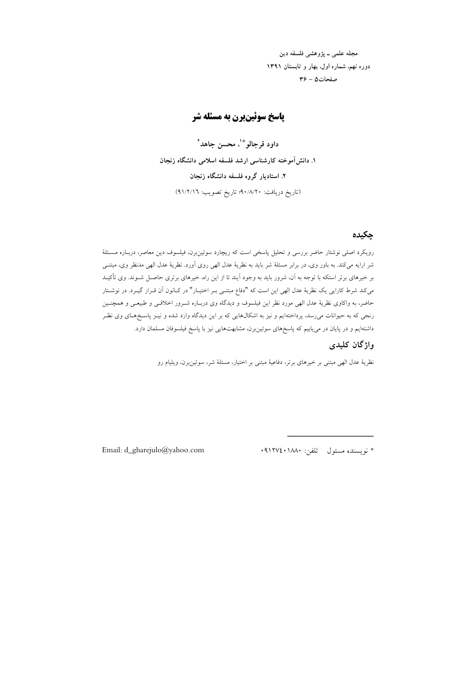مجله علمي ــ يژوهشي فلسفه دين دوره نهم، شماره اول، بهار و تابستان ۱۳۹۱ صفحات ۵ – ۳۶

# **یاسخ سوئینبرن به مسئله شر**

داود قرجالوٌ ؓ ، محسن جاهد ؓ ١. دانش آموخته كارشناسي ارشد فلسفه اسلامي دانشگاه زنجان ۲. استادیار گروه فلسفه دانشگاه زنجان (تاريخ دريافت: ٩٠/٨/٢٠؛ تاريخ تصويب: ٩١/٢/١٦)

## جكيده

رویکرد اصلی نوشتار حاضر بررسی و تحلیل پاسخی است که ریچارد سوئین برن، فیلسوف دین معاصر، دربـاره مسـئلهٔ شر ارایه میکند. به باور وی، در برابر مسئلهٔ شر باید به نظریهٔ عدل الهی روی آورد. نظریهٔ عدل الهی مدنظر وی، مبتنـی بر خیرهای برتر استکه با توجه به آن، شرور باید به وجود آیند تا از این راه، خیرهای برتری حاصـل شــوند. وی تأکیــد مى كند شرط كارايي يك نظرية عدل الهي اين است كه "دفاع مبتنى بـر اختيـار" در كـانون أن قـرار گيـرد. در نوشـتار حاضر، به واکاوی نظریهٔ عدل الهی مورد نظر این فیلسوف و دیدگاه وی دربـاره شـرور اخلاقـی و طبیعـی و همچنـین رنجی که به حیوانات میرسد، پرداختهایم و نیز به اشکالهایی که بر این دیدگاه وارد شده و نیـز پاسـخمهای وی نظـر داشتهایم و در پایان در مییابیم که پاسخهای سوئین برن، مشابهتهایی نیز با پاسخ فیلسوفان مسلمان دارد.

# واژگان کلیدی

نظریهٔ عدل الهی مبتنی بر خیرهای برتر، دفاعیهٔ مبتنی بر اختیار، مسئلهٔ شر، سوئین برن، ویلیام رو

\* نويسنده مسئول تلفن: ١٨٨٠١٢٧٤٠١

Email: d\_gharejulo@yahoo.com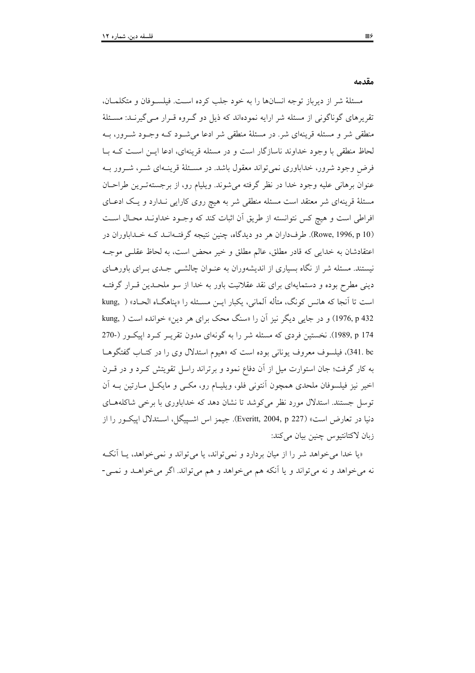مقدمه

مسئلهٔ شر از دیرباز توجه انسانها را به خود جلب کرده است. فیلسوفان و متکلمان، تقریرهای گوناگونی از مسئله شر ارایه نمودهاند که ذیل دو گـروه قـرار مـی گیرنــد: مسـئلهٔ منطقی شر و مسئله قرینهای شر. در مسئلهٔ منطقی شر ادعا میشورد کـه وجـود شـرور، بـه لحاظ منطقی با وجود خداوند ناسازگار است و در مسئله قرینهای، ادعا ایـن اسـت کـه بـا فرض وجود شرور، خداباوری نمیتواند معقول باشد. در مسئلهٔ قرینـهای شـر، شـرور بـه عنوان برهانی علیه وجود خدا در نظر گرفته میشوند. ویلیام رو، از برجستهترین طراحان مسئلهٔ قرینهای شر معتقد است مسئله منطقی شر به هیچ روی کارایی نـدارد و یـک ادعـای افراطی است و هیچ کس نتوانسته از طریق آن اثبات کند که وجـود خداونـد محـال اسـت (Rowe, 1996, p 10). طرفداران هر دو دیدگاه، چنین نتیجه گرفتهانـد کـه خـداباوران در اعتقادشان به خدایی که قادر مطلق، عالم مطلق و خیر محض است، به لحاظ عقلبی موجـه نیستند. مسئله شر از نگاه بسیاری از اندیشهوران به عنـوان چالشــی جــدی بــرای باورهــای دینی مطرح بوده و دستمایهای برای نقد عقلانیت باور به خدا از سو ملحـدین قـرار گرفتـه است تا آنجا که هانس کونگ، متأله آلمانی، یکبار ایـن مسـئله را «پناهگـاه الحـاد» ( .kung 1976, p 432) و در جایی دیگر نیز آن را «سنگ محک برای هر دین» خوانده است ( ,kung 1989, p 174). نخستین فردی که مسئله شر را به گونهای مدون تقریـر کـرد اپیکـور (-270 341. bc)، فیلسوف معروف یونانی بوده است که «هیوم استدلال وی را در کتـاب گفتگوهــا به کار گرفت؛ جان استوارت میل از آن دفاع نمود و برتراند راسل تقویتش کـرد و در قـرن اخیر نیز فیلسوفان ملحدی همچون آنتونی فلو، ویلیـام رو، مکــی و مایکــل مــارتین بــه آن توسل جستند. استدلال مورد نظر می کوشد تا نشان دهد که خداباوری با برخی شاکلههـای دنيا در تعارض است» (227 Everitt, 2004, p). جيمز اس اشـييگل، اسـتدلال اييكــور را از زبان لاكتانتيوس چنين بيان ميكند:

«یا خدا می خواهد شر را از میان بردارد و نمی تواند، یا می تواند و نمی خواهد، یــا آنکــه نه میخواهد و نه میتواند و یا آنکه هم میخواهد و هم میتواند. اگر میخواهـد و نمـی-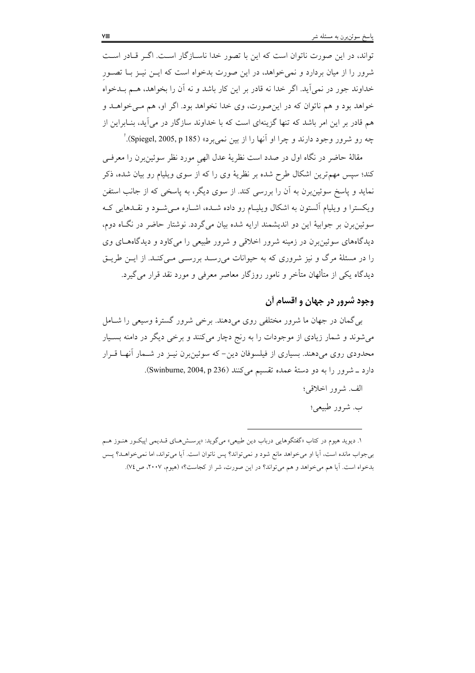تواند، در این صورت ناتوان است که این با تصور خدا ناسـازگار اسـت. اگـر قـادر اسـت شرور را از میان بردارد و نمیخواهد، در این صورت بدخواه است که ایــن نیــز بــا تصــور خداوند جور در نمي[يد. اگر خدا نه قادر بر اين كار باشد و نه آن را بخواهد، هــم بــدخواه خواهد بود و هم ناتوان که در این صورت، وی خدا نخواهد بود. اگر او، هم مـی خواهــد و هم قادر بر این امر باشد که تنها گزینهای است که با خداوند سازگار در میآید، بنـابراین از چه رو شرور وجود دارند و چرا او آنها را از بین نمی برد» (Spiegel, 2005, p 185).'

مقالهٔ حاضر در نگاه اول در صدد است نظریهٔ عدل الهی مورد نظر سوئین برن را معرفی کند؛ سپس مهمترین اشکال طرح شده بر نظریهٔ وی را که از سوی ویلیام رو بیان شده، ذکر نماید و پاسخ سوئینٖبرن به آن را بررسی کند. از سوی دیگر، به پاسخی که از جانب استفن ویکسترا و ویلیام آلستون به اشکال ویلیـام رو داده شـده، اشـاره مـی شـود و نقـدهایی کـه سوئين برن بر جوابيهٔ اين دو انديشمند ارايه شده بيان مي گردد. نوشتار حاضر در نگIه دوم، دیدگاههای سوئین برن در زمینه شرور اخلاقی و شرور طبیعی را می کاود و دیدگاههـای وی را در مسئلهٔ مرگ و نیز شروری که به حیوانات میرسـد بررسـی مـیکنـد. از ایــن طریــق دیدگاه یکی از متألهان متأخر و نامور روزگار معاصر معرفی و مورد نقد قرار می گیرد.

# وجود شرور در جهان و اقسام آن

پے گھان در جھان ما شرور مختلفے روی مے دھند. پرخے شرور گسترۂ وسیعے را شبامل میشوند و شمار زیادی از موجودات را به رنج دچار میکنند و برخی دیگر در دامنه بسـیار محدودی روی میدهند. بسیاری از فیلسوفان دین- که سوئین برن نیـز در شــمار آنهـا قــرار دارد ـ شرور را به دو دستهٔ عمده تقسیم میکنند (Swinburne, 2004, p 236).

الف. شرور اخلاقي؛

ب. شرور طبیعی؛

۱. دیوید هیوم در کتاب «گفتگوهایی درباب دین طبیعی» میگوید: «پرســش۵ـای قــدیمی اپیکــور هنــوز هــم بی جواب مانده است، آیا او می خواهد مانع شود و نمی تواند؟ پس ناتوان است. آیا می تواند، اما نمی خواهــد؟ پـس بدخواه است. آیا هم میخواهد و هم میتواند؟ در این صورت، شر از کجاست؟» (هیوم، ۲۰۰۷، ص۷٤).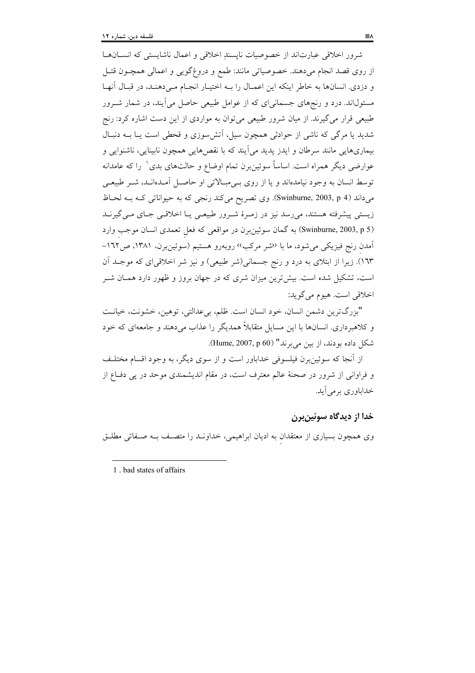شرور اخلاقی عبارتاند از خصوصیات نایسندِ اخلاقی و اعمال ناشایستی که انسـانهـا از روی قصد انجام میدهند. خصوصیاتی مانند: طمع و دروغگویی و اعمالی همچـون قتـل و دزدی. انسانها به خاطر اینکه این اعمـال را بـه اختیـار انجـام مـی دهنـد، در قبـال آنهـا مسئولاند. درد و رنجهای جسمانی ای که از عوامل طبیعی حاصل می آیند، در شمار شــرور طبیعی قرار می گیرند. از میان شرور طبیعی می توان به مواردی از این دست اشاره کرد: رنج شدید یا مرگی که ناشی از حوادثی همچون سیل، آتش سوزی و قحطی است یـا بــه دنبـال بیماریهایی مانند سرطان و ایدز پدید میآیند که با نقصهایی همچون نابینایی، ناشنوایی و عوارضي ديگر همراه است. اساساً سوئين برن تمام اوضاع و حالتهاي بدي` را كه عامدانه توسط انسان به وجود نیامدهاند و یا از روی بےمبالاتی او حاصل آمـدهانـد، شـر طبیعـی میداند (Swinburne, 2003, p 4). وی تصریح میکند رنجی که به حیواناتی کـه بـه لحـاظ زیستی پیشرفته هستند، میرسد نیز در زمـرهٔ شـرور طبیعـی یـا اخلاقـی جـای مـی&یرنـد (Swinburne, 2003, p 5) به گمان سوئين برن در مواقعي كه فعل تعمدي انسان موجب وارد آمدن رنج فیزیکی میشود، ما با <sup>(</sup>نشر مرکب<sup>››</sup> روبهرو هستیم (سوئین,برن، ۱۳۸۱، ص۱٦۲-۱٦٣). زیرا از ابتلای به درد و رنج جسمانی(شر طبیعی) و نیز شر اخلاقیای که موجـد آن است، تشکیل شده است. بیش ترین میزان شری که در جهان بروز و ظهور دارد همــان شــر اخلاقي است. هيوم مي گويد:

"بزرگ ترين دشمن انسان، خود انسان است. ظلم، بي عدالتي، توهين، خشونت، خيانت و کلاهبرداری. انسانها با این مسایل متقابلاً همدیگر را عذاب میدهند و جامعهای که خود شكل داده بودند، از بين مي برند" (Hume, 2007, p 60).

از آنجا که سوئین برن فیلسوفی خداباور است و از سوی دیگر، به وجود اقسام مختلـف و فراوانی از شرور در صحنهٔ عالم معترف است، در مقام اندیشمندی موحد در پی دفاع از خداباوري بومي آيد.

## خدا از ديدگاه سوئينبرن

وی همچون بسیاری از معتقدان به ادیان ابراهیمی، خداونــد را متصــف بــه صــفاتی مطلــق

1. bad states of affairs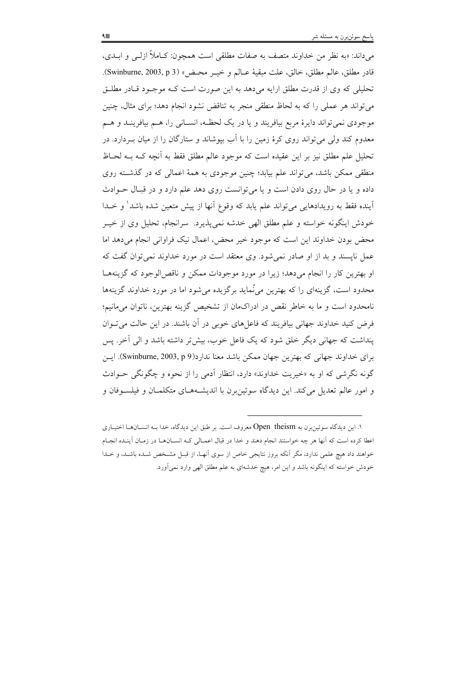مي داند: «به نظر من خداوند متصف به صفات مطلقي است همچون: كـاملاً ازلـي و ابــدي، قادر مطلق، عالم مطلق، خالق، علت مبقيهٔ عــالم و خيــر محـض» (Swinburne, 2003, p 3). تحلیلی که وی از قدرت مطلق ارایه میدهد به این صورت است کـه موجـود قـادر مطلـق می تواند هر عملی را که به لحاظ منطقی منجر به تناقض نشود انجام دهد؛ برای مثال، چنین موجودي نمي تواند دايرهٔ مربع بيافريند و يا در يک لحظـه، انســاني را، هــم بيافرينــد و هــم معدوم کند ولی می تواند روی کرهٔ زمین را با آب بیوشاند و ستارگان را از میان بـردارد. در تحليل علم مطلق نيز بر اين عقيده است كه موجود عالم مطلق فقط به أنجه كـه بـه لحـاظ منطقی ممکن باشد، می تواند علم بیابد؛ چنین موجودی به همهٔ اعمالی که در گذشته روی داده و یا در حال روی دادن است و یا می توانست روی دهد علم دارد و در قبال حـوادث آینده فقط به رویدادهایی می تواند علم یابد که وقوع آنها از پیش متعین شده باشد<sup>\</sup> و خــدا خودش اینگونه خواسته و علم مطلق الهی خدشه نمی پذیرد. سرانجام، تحلیل وی از خیــر محض بودن خداوند این است که موجود خیر محض، اعمال نیک فراوانی انجام می دهد اما عمل ناپسند و بد از او صادر نمیشود. وی معتقد است در مورد خداوند نمی توان گفت که او بهترین کار را انجام می دهد؛ زیرا در مورد موجودات ممکن و ناقص الوجود که گزینههـا محدود است، گزینهای را که بهترین می ْنماید برگزیده می شود اما در مورد خداوند گزینهها نامحدود است و ما به خاطر نقص در ادراکمان از تشخیص گزینه بهترین، ناتوان میمانیم؛ فرض کنید خداوند جهانی بیافریند که فاعلهای خوبی در آن باشند. در این حالت می تـوان ینداشت که جهانی دیگر خلق شود که یک فاعل خوب، بیش تر داشته باشد و الی آخر. پس براي خداوند جهاني كه بهترين جهان ممكن باشد معنا ندارد(Swinburne, 2003, p 9). اين گونه نگرشی که او به «خیریت خداوند» دارد، انتظار آدمی را از نحوه و چگونگی حـوادث و امور عالم تعدیل میکند. این دیدگاه سوئین برن با اندیشـههـای متکلمـان و فیلسـوفان و

۱. این دیدگاه سوئین برن به Open theism معروف است. بر طبق این دیدگاه، خدا بـه انســانهــا اختیــاری اعطا کرده است که آنها هر چه خواستند انجام دهند و خدا در قبال اعمــالی کــه انســان۱مـا در زمــان آینــده انجــام خواهند داد هیچ علمی ندارد، مگر آنکه بروز نتایجی خاص از سوی آنهـا، از قبــل مشـخص شــده باشــد، و خــدا خودش خواسته که اینگونه باشد و این امر، هیچ خدشهای به علم مطلق الهی وارد نمیآورد.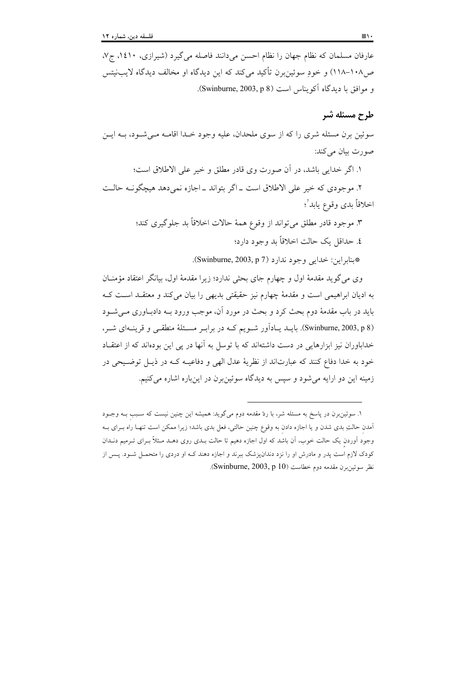عارفان مسلمان که نظام جهان را نظام احسن میدانند فاصله می گیرد (شیرازی، ۱٤۱۰، ج۷، ص١٠٨-١١٨) و خودِ سوئينِبرن تأكيد ميكند كه اين ديدگاه او مخالف ديدگاه لايبنيتس و موافق با ديدگاه آكويناس است (Swinburne, 2003, p 8).

# طرح مسئله شر

سوئين برن مسئله شري را كه از سوى ملحدان، عليه وجود خـدا اقامــه مــي شــود، بــه ايــن صورت بيان مي كند:

١. اگر خدايي باشد، در آن صورت وي قادر مطلق و خير علي الاطلاق است؛

٢. موجودي كه خير على الاطلاق است \_ اگر بتواند \_ اجازه نمى دهد هيچگوف حالت اخلاقاً بدي وقوع يابد′؛

> ۳. موجود قادر مطلق میتواند از وقوع همهٔ حالات اخلاقاً بد جلوگیری کند؛ ٤. حداقل یک حالت اخلاقاً بد وجود دارد؛

> > \* بنايراين: خدايي وجود ندارد (Swinburne, 2003, p 7).

وي مي گويد مقدمهٔ اول و چهارم جاي بحثي ندارد؛ زيرا مقدمهٔ اول، بيانگر اعتقاد مؤمنــان به ادیان ابراهیمی است و مقدمهٔ چهارم نیز حقیقتی بدیهی را بیان میکند و معتقـد اسـت کـه باید در باب مقدمهٔ دوم بحث کرد و بحث در مورد آن، موجب ورود بــه دادبــاوری مـــ شــود (Swinburne, 2003, p 8). بایــد یــاداَور شــویم کــه در برابـر مسـئلهٔ منطقــی و قرینــهای شــر، خداباوران نیز ابزارهایی در دست داشتهاند که با توسل به آنها در پی این بودهاند که از اعتقـاد خود به خدا دفاع کنند که عبارتاند از نظریهٔ عدل الهی و دفاعیـه کـه در ذیـل توضـیحی در زمینه این دو ارایه می شود و سیس به دیدگاه سوئین برن در اینباره اشاره می کنیم.

١. سوئينبرن در پاسخ به مسئله شر، با ردّ مقدمه دوم ميگويد: هميشه اين چنين نيست كه سـبب بـه وجـود آمدن حالتِ بدی شدن و یا اجازه دادن به وقوع چنین حالتی، فعل بدی باشد؛ زیرا ممکن است تنهـا راه بــرای بــه وجود اَوردن یک حالت خوب، اَن باشد که اول اجازه دهیم تا حالت بـدی روی دهــد مــثلاً بــرای تــرمیم دنــدان کودک لازم است پدر و مادرش او را نزد دندانپزشک ببرند و اجازه دهند کـه او دردی را متحمـل شــود. پــس از نظر سوئين برن مقدمه دوم خطاست (Swinburne, 2003, p 10).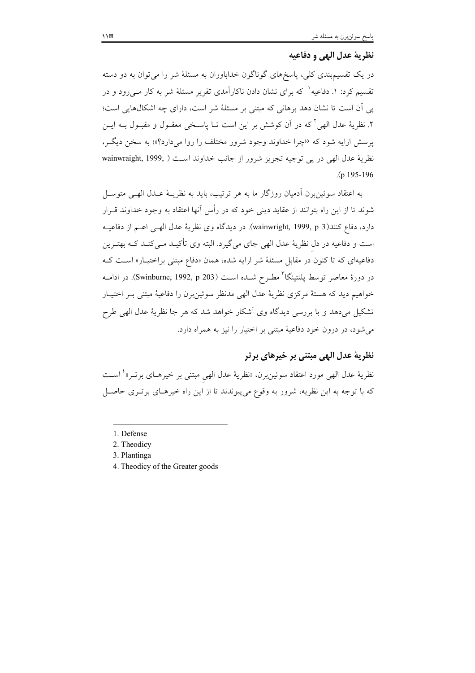### نظرية عدل الهي و دفاعيه

در یک تقسیمبندی کلی، پاسخهای گوناگون خداباوران به مسئلهٔ شر را می توان به دو دسته تقسیم کرد: ۱. دفاعیه <sup>۱</sup> که برای نشان دادن ناکارآمدی تقریر مسئلهٔ شر به کار مــیرود و در یی آن است تا نشان دهد برهانی که مبتنی بر مسئلهٔ شر است، دارای چه اشکالهایی است؛ ٢. نظريهٔ عدل الهي ` كه در آن كوشش بر اين است تــا ياســخي معقــول و مقبــول بــه ايــن پرسش ارایه شود که «چرا خداوند وجود شرور مختلف را روا میدارد؟»؛ به سخن دیگـر، نظرية عدل الهي در يي توجيه تجويز شرور از جانب خداوند است ( ,wainwraight, 1999  $(n 195 - 196)$ 

به اعتقاد سوئين برن أدميان روزگار ما به هر ترتيب، بايد به نظريــهٔ عــدل الهــي متوســل شوند تا از این راه بتوانند از عقاید دینی خود که در رأس آنها اعتقاد به وجود خداوند قــرار دارد، دفاع كنند(3 wainwright, 1999, p). در ديدگاه وي نظريهٔ عدل الهـي اعــم از دفاعيــه است و دفاعیه در دل نظریهٔ عدل الهی جای میگیرد. البته وی تأکیـد مـیکنـد کـه بهتـرین دفاعیهای که تا کنون در مقابل مسئلهٔ شر ارایه شده، همان «دفاع مبتنی براختیـار» اسـت کـه در دورهٔ معاصر توسط یلنتینگا<sup>۳</sup> مطـرح شــده اســت (Swinburne, 1992, p 203). در ادامــه خواهیم دید که هستهٔ مرکزی نظریهٔ عدل الهی مدنظر سوئین برن را دفاعیهٔ مبتنی بـر اختیـار تشکیل میدهد و با بررسی دیدگاه وی آشکار خواهد شد که هر جا نظریهٔ عدل الهی طرح می شود، در درون خود دفاعیهٔ مبتنی بر اختیار را نیز به همراه دارد.

## نظریهٔ عدل الهی مبتنی بر خیرهای برتر

نظرية عدل الهي مورد اعتقاد سوئين برن، «نظرية عدل الهي مبتنى بر خيرهـاى برتــر» ٔ اســت که با توجه به این نظریه، شرور به وقوع می پیوندند تا از این راه خیرهـای برتـری حاصـل

- 1. Defense
- 2. Theodicy
- 3. Plantinga
- 4. Theodicy of the Greater goods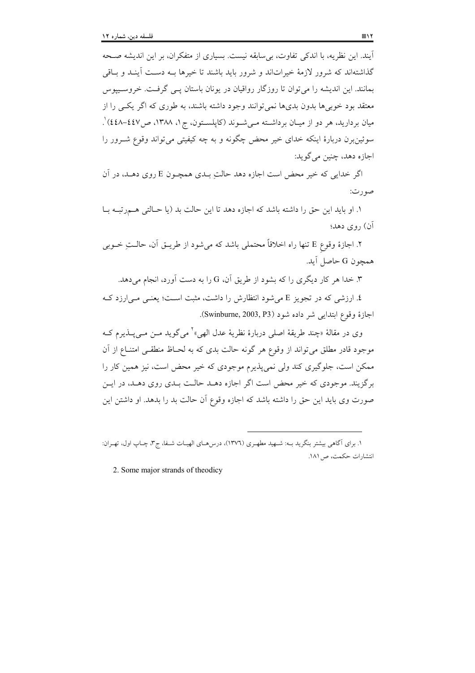آيند. اين نظريه، با اندكي تفاوت، بي سابقه نيست. بسياري از متفكران، بر اين انديشه صـحه گذاشتهاند که شرور لازمهٔ خیراتاند و شرور باید باشند تا خیرها بـه دسـت أینـد و بـاقی بمانند. این اندیشه را می توان تا روزگار رواقیان در یونان باستان یـبی گرفـت. خروسـیپوس معتقد بود خوبیها بدون بدیها نمیتوانند وجود داشته باشند، به طوری که اگر یک را از میان بردارید، هر دو از میـان برداشــته مــی شــوند (کایلســتون، ج۱، ۱۳۸۸، ص۱٤٤٧) ْ. سوئين برن دربارهٔ اينکه خداي خير محض چگونه و به چه کيفيتي مي تواند وقوع شــرور را اجازه دهد، چنين مي گويد:

اگر خدایی که خیر محض است اجازه دهد حالت بـدی همچــون E روی دهــد، در آن صورت:

١. او بايد اين حق را داشته باشد كه اجازه دهد تا اين حالت بد (يا حـالتي هـمرتبـه بـا آن) , وی دهد؛

۲. اجازهٔ وقوع E تنها راه اخلاقاً محتملی باشد که میشود از طریــق آن، حالــتِ خــوبی همچون G حاصل آيد.

۳. خدا هر کار دیگری را که بشود از طریق آن، G را به دست آورد، انجام می دهد.

٤. ارزشی که در تجویز E می شود انتظارش را داشت، مثبت اسـت؛ یعنـی مـی|رزد کـه اجازهٔ وقوع ابتدایی شر داده شود (Swinburne, 2003, P3).

وي در مقالهٔ «چند طريقهٔ اصلي دربارهٔ نظريهٔ عدل الهي»<sup>۲</sup> مي گويد مــن مــي پــذيرم کــه موجود قادر مطلق می تواند از وقوع هر گونه حالت بدی که به لحـاظ منطقـبی امتنــاع از آن ممکن است، جلوگیری کند ولی نمی پذیرم موجودی که خیر محض است، نیز همین کار را برگزیند. موجودی که خیر محض است اگر اجازه دهــد حالــت بــدی روی دهــد، در ایــن صورت وي بايد اين حق را داشته باشد كه اجازه وقوع آن حالت بد را بدهد. او داشتن اين

١. براي آگاهي بيشتر بنگريد بـه: شـهيد مطهـري (١٣٧٦)، درس٥هـاي الهيـات شـفا، ج٣، چـاپ اول، تهـران: انتشارات حكمت، ص ١٨١.

2. Some major strands of theodicy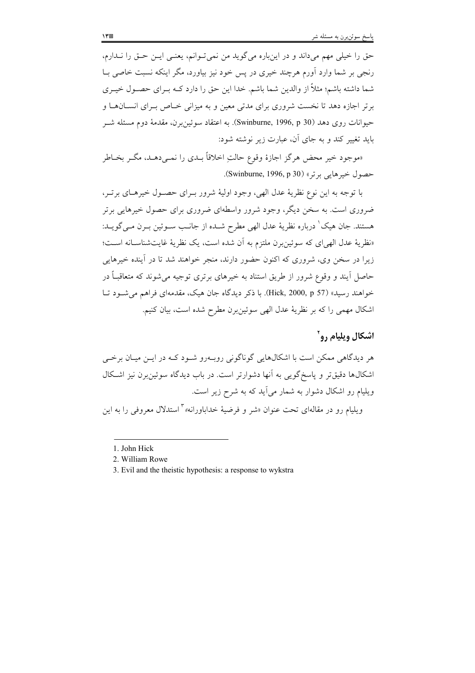حق را خیلی مهم میداند و در اینباره میگوید من نمی تـوانم، یعنـی ایــن حــق را نــدارم، رنجی بر شما وارد اَورم هرچند خیری در پس خود نیز بیاورد، مگر اینکه نسبت خاصی بــا شما داشته باشم؛ مثلاً از والدین شما باشم. خدا این حق را دارد کــه بــرای حصــول خیــری بر تر اجازه دهد تا نخست شروری برای مدتی معین و به میزانی خـاص بـرای انســانهــا و حيوانات روي دهد (Swinburne, 1996, p 30). به اعتقاد سوئين برن، مقدمهٔ دوم مسئله شـر باید تغییر کند و به جای آن، عبارت زیر نوشته شود:

«موجود خير محض هرگز اجازهٔ وقوع حالتِ اخلاقاً بــدي را نمــي،دهــد، مگــر بخــاطر حصول خيرهايي برتر» (Swinburne, 1996, p 30).

با توجه به اين نوع نظريهٔ عدل الهي، وجود اوليهٔ شرور بـراي حصـول خيرهـاي برتـر، ضروری است. به سخن دیگر، وجود شرور واسطهای ضروری برای حصول خیرهایی برتر هستند. جان هيک ٰ درباره نظريهٔ عدل الهي مطرح شـده از جانـب سـوئين بـرن مـي گويـد: «نظرية عدل الهي اي كه سوئين برن ملتزم به أن شده است، يك نظرية غايت شناسـانه اسـت؛ زیرا در سخن وی، شروری که اکنون حضور دارند، منجر خواهند شد تا در آینده خیرهایی حاصل آیند و وقوع شرور از طریق استناد به خیرهای برتری توجیه می شوند که متعاقبـاً در خواهند رسید» (Hick, 2000, p 57). با ذکر دیدگاه جان هیک، مقدمهای فراهم می شود تـا اشكال مهمى را كه بر نظريهٔ عدل الهى سوئين برن مطرح شده است، بيان كنيم.

### اشکال ویلیام رو`

هر دیدگاهی ممکن است با اشکالهایی گوناگونی روب درو شـود کـه در ایــن میــان برخــی اشکالها دقیقتر و یاسخ گویی به آنها دشوارتر است. در باب دیدگاه سوئین برن نیز اشکال ویلیام رو اشکال دشوار به شمار می آید که به شرح زیر است.

ويليام رو در مقالهاي تحت عنوان «شر و فرضيهٔ خداباورانه» آاستدلال معروفي را به اين

<sup>1.</sup> John Hick

<sup>2.</sup> William Rowe

<sup>3.</sup> Evil and the theistic hypothesis: a response to wykstra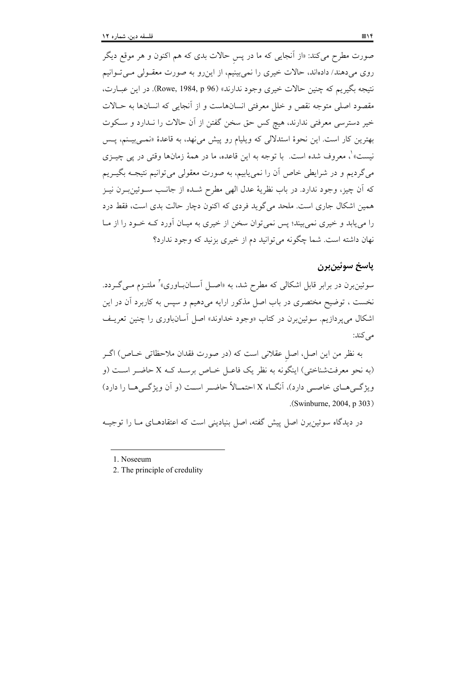صورت مطرح میکند: «از آنجایی که ما در پس حالات بدی که هم اکنون و هر موقع دیگر روی میدهند/ دادهاند، حالات خیری را نمیبینیم، از اینررو به صورت معقــولی مــیتــوانیم نتيجه بگيريم كه چنين حالات خيري وجود ندارند» (Rowe, 1984, p 96). در اين عبـارت، مقصود اصلي متوجه نقص و خلل معرفتي انسانهاست و از آنجايي كه انسانها به حـالات خیر دسترسی معرفتی ندارند، هیچ کس حق سخن گفتن از آن حالات را نـدارد و سـکوت بهترین کار است. این نحوهٔ استدلال<sub>ی</sub> که ویلیام رو پیش می:هد، به قاعدهٔ «نم<sub>حی</sub>بیـنم، پــس نيست» ْ، معروف شده است. با توجه به اين قاعده، ما در همهٔ زمانها وقتى در يى چيــزى میگردیم و در شرایطی خاص آن را نمییابیم، به صورت معقولی میتوانیم نتیجـه بگیــریم كه أن چيز، وجود ندارد. در باب نظريهٔ عدل الهي مطرح شــده از جانــب ســوئين بــرن نيــز همین اشکال جاری است. ملحد می گوید فردی که اکنون دچار حالت بدی است، فقط درد را می پابد و خیری نمی بیند؛ پس نمی توان سخن از خیری به میـان آورد کــه خــود را از مــا نهان داشته است. شما چگونه می توانید دم از خیری بزنید که وجود ندارد؟

## ياسخ سوئين برن

سوئین برن در برابر قابل اشکالی که مطرح شد، به «اصـل آســان(بـاوری»<sup>۲</sup> ملتــزم مــی گــردد. نخست ، توضیح مختصری در باب اصل مذکور ارایه می۵هیم و سپس به کاربرد آن در این اشکال می پر دازیم. سوئین برن در کتاب «وجود خداوند» اصل آسانباوری را چنین تعریـف می کند:

به نظر من این اصل، اصل عقلانی است که (در صورت فقدان ملاحظاتی خـاص) اگــر (به نحو معرفتشناختی) اینگونه به نظر یک فاعـل خـاص برسـد کـه X حاضـر اسـت (و ویژ گے هــاى خاصــى دارد)، آنگــاه X احتمــالاً حاضــر اســت (و أن ویژ گــى هــا را دارد) (Swinburne, 2004, p 303).

در دیدگاه سوئینبرن اصل پیش گفته، اصل بنیادینی است که اعتقادهـای مــا را توجیــه

<sup>1.</sup> Noseeum

<sup>2.</sup> The principle of credulity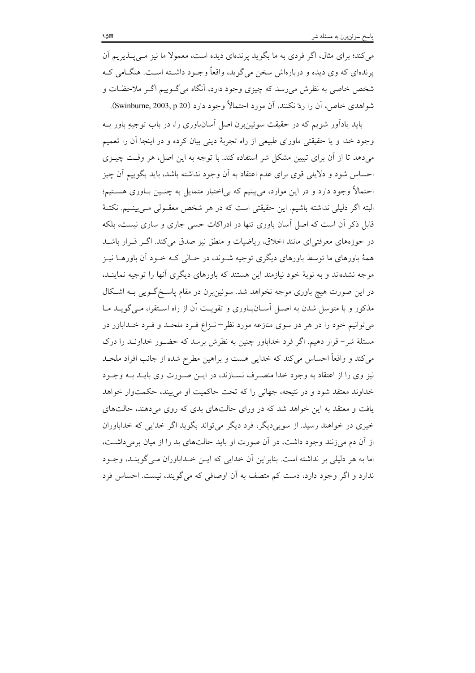می کند؛ برای مثال، اگر فردی به ما بگوید پرندهای دیده است، معمولا ما نیز مـی پــذیریم آن پرندهای که وی دیده و دربارهاش سخن میگوید، واقعاً وجـود داشــته اســت. هنگــامی کــه شخص خاصی به نظرش میرسد که چیزی وجود دارد، آنگاه میگـوییم اگـر ملاحظـات و شواهدي خاص، أن را ردّ نكنند، أن مورد احتمالاً وجود دارد (Swinburne, 2003, p 20).

باید یادآور شویم که در حقیقت سوئین برن اصل آسانباوری را، در باب توجیهِ باور بـه وجود خدا و یا حقیقتی ماورای طبیعی از راه تجربهٔ دینی بیان کرده و در اینجا آن را تعمیم می دهد تا از آن برای تبیین مشکل شر استفاده کند. با توجه به این اصل، هر وقت چیـزی احساس شود و دلایلی قوی برای عدم اعتقاد به آن وجود نداشته باشد، باید بگوییم آن چیز احتمالاً وجود دارد و در این موارد، می بینیم که بی|ختیار متمایل به چنـین بـاوری هســتیم؛ البته اگر دلیلی نداشته باشیم. این حقیقتی است که در هر شخص معقـولی مـی بینـیم. نکتـهٔ قابل ذکر آن است که اصل آسان باوری تنها در ادراکات حسبی جاری و ساری نیست، بلکه در حوزههای معرفتی ای مانند اخلاق، ریاضیات و منطق نیز صدق می کند. اگـر قـرار باشــد همهٔ باورهای ما توسط باورهای دیگری توجیه شـوند، در حـالی کـه خـود آن باورهــا نیــز موجه نشدهاند و به نوبهٔ خود نیازمند این هستند که باورهای دیگری آنها را توجیه نماینــد، در این صورت هیچ باوری موجه نخواهد شد. سوئین برن در مقام پاسخگویی بـه اشکال مذکور و با متوسل شدن به اصل آسانباوری و تقویت آن از راه استقرا، میگویـد مـا می توانیم خود را در هر دو سوی منازعه مورد نظر – نـزاع فـرد ملحـد و فـرد خـداباور در مسئلهٔ شر– قرار دهیم. اگر فرد خداباور چنین به نظرش برسد که حضـور خداونـد را درک می کند و واقعاً احساس می کند که خدایی هست و براهین مطرح شده از جانب افراد ملحـد نیز وی را از اعتقاد به وجود خدا منصـرف نسـازند، در ایــن صــورت وی بایــد بــه وجــود خداوند معتقد شود و در نتیجه، جهانی را که تحت حاکمیت او می بیند، حکمتوار خواهد یافت و معتقد به این خواهد شد که در ورای حالتهای بدی که روی می دهند، حالتهای خيږي در خواهند رسيد. از سويې ديگر، فرد ديگر مې تواند بگويد اگر خدايې كه خداباوران از آن دم می زنند وجود داشت، در آن صورت او باید حالتهای بد را از میان برمی داشت، اما به هر دلیلی بر نداشته است. بنابراین آن خدایی که ایـن خــداباوران مــی گوینــد، وجــود ندارد و اگر وجود دارد، دست کم متصف به آن اوصافی که میگویند، نیست. احساس فرد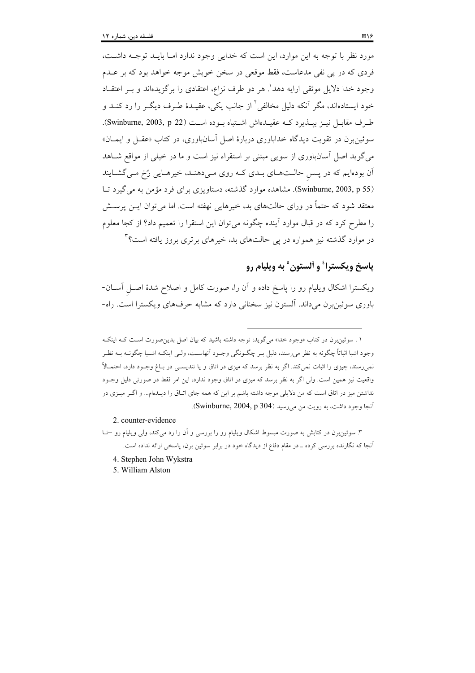مورد نظر با توجه به این موارد، این است که خدایی وجود ندارد امـا بایـد توجـه داشـت، فردی که در پی نفی مدعاست، فقط موقعی در سخن خویش موجه خواهد بود که بر عـدم وجود خدا دلایل موثقی ارایه دهد'. هر دو طرف نزاع، اعتقادی را برگزیدهاند و بــر اعتقــاد خود ایستادهاند، مگر آنکه دلیل مخالفی<sup>۲</sup> از جانب یکی، عقیــدهٔ طــرف دیگــر را رد کنــد و طرف مقابل نية بيبذيرد كيه عقيدهاش اشتباه بيوده است (Swinburne, 2003, p 22). سوئین برن در تقویت دیدگاه خداباوری دربارهٔ اصل آسانباوری، در کتاب «عقبل و ایمــان» می گوید اصل آسانباوری از سویی مبتنی بر استقراء نیز است و ما در خیلی از مواقع شــاهد اّن بودهایم که در پـس حالـتهـاي بـدي کـه روي مـيدهنـد، خيرهـايي رُخ مـي گشـايند (Swinburne, 2003, p 55). مشاهده موارد گذشته، دستاویزی برای فرد مؤمن به می گیرد تبا معتقد شود که حتماً در ورای حالتهای بد، خیرهایی نهفته است. اما می توان ایــن پرســش را مطرح کرد که در قبال موارد آینده چگونه می توان این استقرا را تعمیم داد؟ از کجا معلوم در موارد گذشته نیز همواره در یی حالتهای بد، خیرهای برتری بروز یافته است؟<sup>۳</sup>

# ياسخ ويكسترا<sup>؛</sup> و ألستون ° به ويليام رو

ویکسترا اشکال ویلیام رو را پاسخ داده و آن را، صورت کامل و اصلاح شدهٔ اصـل آســان-باوری سوئین برن میداند. آلستون نیز سخنانی دارد که مشابه حرفهای ویکسترا است. راه-

2. counter-evidence

- ۳. سوئین برن در کتابش به صورت مبسوط اشکال ویلیام رو را بررسی و آن را رد میکند، ولی ویلیام رو –تـا آنجا که نگارنده بررسی کرده ــ در مقام دفاع از دیدگاه خود در برابر سوئین برن، پاسخی ارائه نداده است.
	- 4. Stephen John Wykstra
	- 5. William Alston

ا . سوئین برن در کتاب «وجود خدا» می گوید: توجه داشته باشید که بیان اصل بدین صورت است کـه اینکـه وجود اشیا اثباتاً چگونه به نظر میرسند، دلیل بـر چگـونگی وجـود اَنهاسـت، ولـی اینکـه اشـیا چگونــه بــه نظـر نمی٫رسند، چیزی را اثبات نمیکند. اگر به نظر برسد که میزی در اتاق و یا تندیســی در بــاغ وجــود دارد، احتمــالاً واقعیت نیز همین است. ولی اگر به نظر برسد که میزی در اتاق وجود ندارد، این امر فقط در صورتی دلیل وجـود نداشتن میز در اتاق است که من دلایلی موجه داشته باشم بر این که همه جای اتـاق را دیـدهام... و اگــر میــزی در آنجا وجود داشت، به رويت من مي رسيد (Swinburne, 2004, p 304).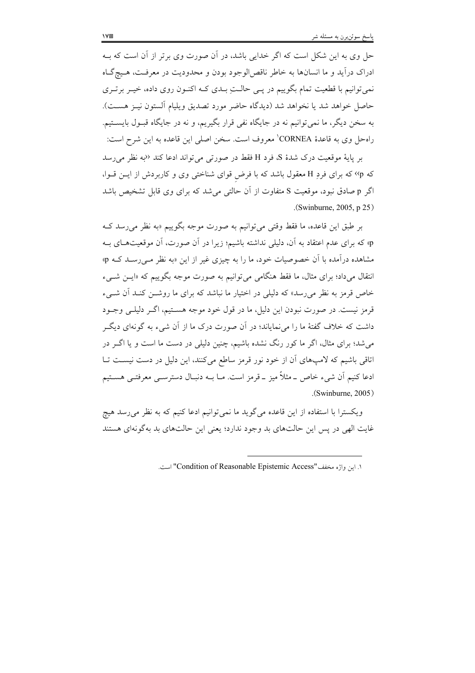حل وی به این شکل است که اگر خدایی باشد، در آن صورت وی برتر از آن است که بـه ادراک درأيد و ما انسانها به خاطر ناقصالوجود بودن و محدوديت در معرفت، هـيچگـاه نمی توانیم با قطعیت تمام بگوییم در پـی حالـتِ بـدی کـه اکنـون روی داده، خیـر برتـری حاصل خواهد شد يا نخواهد شد (ديدگاه حاضر مورد تصديق ويليام ألستون نيـز هســت). به سخن دیگر، ما نمی توانیم نه در جایگاه نفی قرار بگیریم، و نه در جایگاه قبـول بایســتیم. راهحل وي به قاعدهٔ CORNEA' معروف است. سخن اصلي اين قاعده به اين شرح است:

بر پایهٔ موقعیت درک شدهٔ S، فرد H فقط در صورتی می تواند ادعا کند ‹‹به نظر می رسد که p،> که برای فردِ H معقول باشد که با فرض قوای شناختی وی و کاربردش از ایـن قـوا، اگر p صادق نبود، موقعیت S متفاوت از آن حالتی می شد که برای وی قابل تشخیص باشد  $(Swinburne, 2005, p 25)$ 

بر طبق این قاعده، ما فقط وقتی می توانیم به صورت موجه بگوییم «به نظر می رسد ک p» که برای عدم اعتقاد به آن، دلیلی نداشته باشیم؛ زیرا در آن صورت، آن موقعیتهای بـه مشاهده درآمده با آن خصوصیات خود، ما را به چیزی غیر از این «به نظر مـی(سـد کــه p» انتقال میداد؛ برای مثال، ما فقط هنگامی می توانیم به صورت موجه بگوییم که «ایــن شــیء خاص قرمز به نظر می رسد» که دلیلی در اختیار ما نباشد که برای ما روشــن کنــد آن شـــیء قرمز نیست. در صورت نبودن این دلیل، ما در قول خود موجه هسـتیم، اگــر دلیلــی وجــود داشت که خلاف گفتهٔ ما را میٖنمایاند؛ در اَن صورت درک ما از اَن شیء به گونهای دیگـر می شد؛ برای مثال، اگر ما کور رنگ نشده باشیم، چنین دلیلی در دست ما است و یا اگـر در اتاقی باشیم که لامپهای آن از خود نور قرمز ساطع میکنند، این دلیل در دست نیست تـا ادعا کنیم اَن شیء خاص ۔مثلاً میز ۔قرمز است. مــا بــه دنبــال دسترســی معرفتــی هســتیم  $(Swinburne, 2005)$ 

ویکسترا با استفاده از این قاعده میگوید ما نمیتوانیم ادعا کنیم که به نظر می رسد هیچ غايت الهي در پس اين حالتهاي بد وجود ندارد؛ يعني اين حالتهاي بد بهگونهاي هستند

١. ابن واژه مخفف"Condition of Reasonable Epistemic Access" است.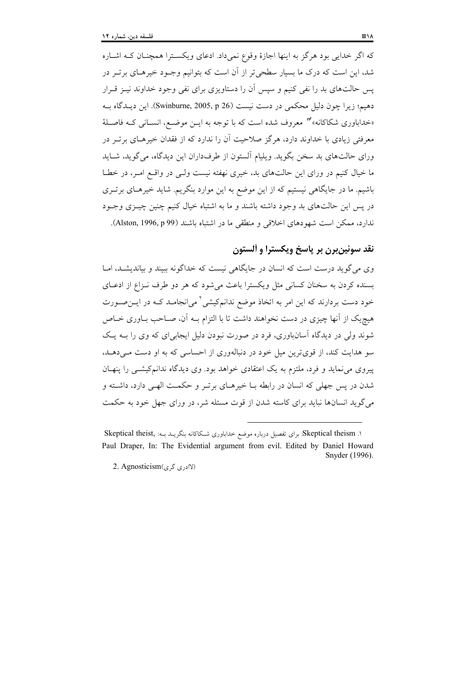که اگر خدایی بود هرگز به اینها اجازهٔ وقوع نمیداد. ادعای ویکسترا همچنان کـه اشـاره شد، این است که درک ما بسیار سطحیتر از اَن است که بتوانیم وجــود خیرهــای برتــر در پس حالتهای بد را نفی کنیم و سپس آن را دستاویزی برای نفی وجود خداوند نیـز قـرار دهیم؛ زیرا چون دلیل محکمی در دست نیست (Swinburne, 2005, p 26). این دیـدگاه بـه «خداباوری شکاکانه»″ معروف شده است که با توجه به ایــن موضــع، انســانی کــه فاصــلهٔ معرفتی زیادی با خداوند دارد، هرگز صلاحیت آن را ندارد که از فقدان خیرهـای برتـر در ورای حالتهای بد سخن بگوید. ویلیام آلستون از طرفداران این دیدگاه، می گوید، شــاید ما خیال کنیم در ورای این حالتهای بد، خیری نهفته نیست ولـی در واقــع امــر، در خطــا باشیم. ما در جایگاهی نیستیم که از این موضع به این موارد بنگریم. شاید خیرهـای برتــری در يس اين حالتهاي بد وجود داشته باشند و ما به اشتباه خيال كنيم چنين چيــزي وجــود ندارد، ممكن است شهودهاي اخلاقي و منطقى ما در اشتباه باشند (Alston, 1996, p 99).

# نقد سوئينبرن بر پاسخ ويكسترا و آلستون

وی می گوید درست است که انسان در جایگاهی نیست که خداگونه ببیند و بیاندیشـد، امـا بسنده کردن به سخنان کسانی مثل ویکسترا باعث می شود که هر دو طرف نـزاع از ادعــای خود دست بردارند که این امر به اتخاذ موضع ندانمکیشی<sup>۲</sup> میانجامـد کــه در ایــن۵صـورت هیچیک از آنها چیزی در دست نخواهند داشت تا با التزام بــه آن، صــاحب بــاوری خــاص شوند ولي در ديدگاه اسانباوري، فرد در صورت نبودن دليل ايجابي!ي که وي را بــه يــک سو هدایت کند، از قویترین میل خود در دنبالهوری از احساسی که به او دست مـیدهـد. پیروی می نماید و فرد، ملتزم به یک اعتقادی خواهد بود. وی دیدگاه ندانمکیشتی را پنهـان شدن در پس جهلی که انسان در رابطه بـا خیرهـای برتـر و حکمـت الهـی دارد، داشـته و می گوید انسانها نباید برای کاسته شدن از قوت مسئله شر، در ورای جهل خود به حکمت

١. Skeptical theismذ براى تفصيل درباره موضع خداباورى شكاكانه بنكريـد بـه: , Skeptical theist Paul Draper, In: The Evidential argument from evil. Edited by Daniel Howard Snyder (1996).

<sup>2.</sup> Agnosticism( ( کادری گری)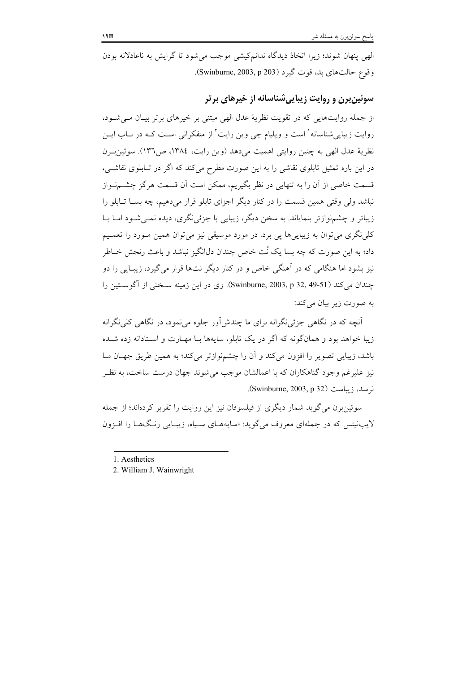الهی پنهان شوند؛ زیرا اتخاذ دیدگاه ندانمکیشی موجب می شود تا گرایش به ناعادلانه بودن وقوع حالت هاى بد، قوت گيرد (Swinburne, 2003, p 203).

## سوئین برن و روایت زیبایی شناسانه از خیرهای بر تر

از جمله روایتهایی که در تقویت نظریهٔ عدل الهی مبتنی بر خیرهای برتر بیـان مـی شـود، روایت زیباییشناسانه<sup>۱</sup> است و ویلیام جی وین رایت<sup>۲</sup> از متفکرانی اسـت کــه در بــاب ایـــن نظرية عدل الهي به چنين روايتي اهميت مي دهد (وين رايت، ١٣٨٤، ص١٣٦). سوئين بـرن در این باره تمثیل تابلوی نقاشی را به این صورت مطرح میکند که اگر در تـابلوی نقاشـی، قسمت خاصی از آن را به تنهایی در نظر بگیریم، ممکن است آن قسمت هرگز چشــمنـواز نباشد ولی وقتی همین قسمت را در کنار دیگر اجزای تابلو قرار میدهیم، چه بســا تــابلو را زیباتر و چشمنوازتر بنمایاند. به سخن دیگر، زیبایی با جزئی نگری، دیده نمـی شـود امـا بــا کلی نگری می توان به زیبایی ها یی برد. در مورد موسیقی نیز می توان همین مـورد را تعمـیم داد؛ به این صورت که چه بسا یک نُت خاص چندان دل\نگیز نباشد و باعث رنجش خــاطر نیز بشود اما هنگامی که در آهنگی خاص و در کنار دیگر نتها قرار می گیرد، زیبـایی را دو چندان می کند (Swinburne, 2003, p 32, 49-51). وی در این زمینه سـخنی از آگوسـتین را به صورت زیر بیان میکند:

آنچه که در نگاهی جزئی نگرانه برای ما چندش اَور جلوه می نمود، در نگاهی کلی نگرانه زیبا خواهد بود و همانگونه که اگر در یک تابلو، سایهها بـا مهـارت و اسـتادانه زده شــده باشد، زیبایی تصویر را افزون میکند و آن را چشمنوازتر میکند؛ به همین طریق جهـان مـا نیز علیرغم وجود گناهکاران که با اعمالشان موجب می شوند جهان درست ساخت، به نظـر نرسد، زیباست (Swinburne, 2003, p 32).

سوئین برن می گوید شمار دیگری از فیلسوفان نیز این روایت را تقریر کردهاند؛ از جمله لايبنيتس كه در جملهاي معروف مي گويد: «سايههـاي سـياه، زيبـايي رنـگ&ـا را افـزون

<sup>1.</sup> Aesthetics

<sup>2.</sup> William J. Wainwright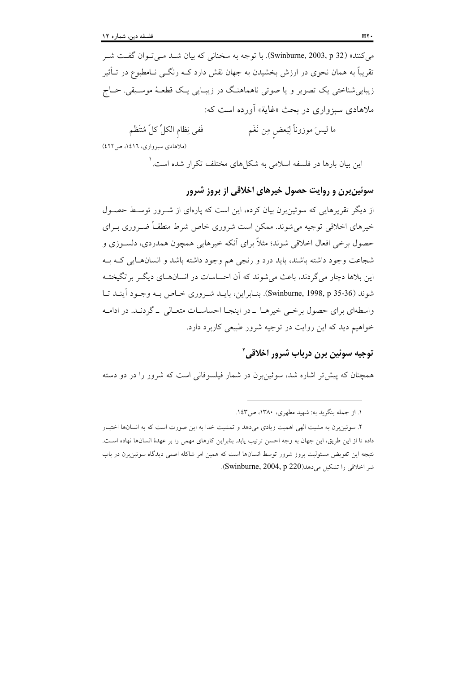می کنند» (Swinburne, 2003, p 32). با توجه به سخنانی که بیان شـد مـی تـوان گفـت شـر تقریباً به همان نحوی در ارزش بخشیدن به جهان نقش دارد کــه رنگــی نــامطبوع در تــأثیر زیباییشناختی یک تصویر و یا صوتی ناهماهنگ در زیبـایی یـک قطعـهٔ موسـیقی. حــاج ملاهادی سبزواری در بحث «غایة» آورده است که:

ما ليسَ موزوناً لِبَعض مِن نَغَم فَفي نِظام الكلِّ كلِّ مُنتَظَم (ملاهادی سبزواری، ١٤١٦، ص ٤٢٢)

این بیان بارها در فلسفه اسلامی به شکلهای مختلف تکرار شده است. ٰ

## سوئین برن و روایت حصول خیرهای اخلاقی از بروز شرور

از دیگر تقریرهایی که سوئین برن بیان کرده، این است که پارهای از شـرور توسـط حصـول خیرهای اخلاقی توجیه می شوند. ممکن است شروری خاص شرط منطقـاً ضـروری بـرای حصول برخي افعال اخلاقي شوند؛ مثلاً براي آنكه خيرهايي همچون همدردي، دلسـوزي و شجاعت وجود داشته باشند، باید درد و رنجی هم وجود داشته باشد و انسانهـایی کـه بـه این بلاها دچار می گردند، باعث می شوند که آن احساسات در انسانههای دیگر برانگیختـه شوند (Swinburne, 1998, p 35-36). بنـابراين، بايـد شـروري خـاص بـه وجـود آينـد تـا واسطهای برای حصول برخبی خیرهـا - در اینجـا احساسـات متعـالی - گردنـد. در ادامـه خواهیم دید که این روایت در توجیه شرور طبیعی کاربرد دارد.

# توجيه سوئين برن درباب شرور اخلاقي آ

همچنان که پیش تر اشاره شد، سوئین برن در شمار فیلسوفانی است که شرور را در دو دسته

١. از جمله بنگريد به: شهيد مطهري، ١٣٨٠، ص١٤٣.

۲. سوئین برن به مشیت الهی اهمیت زیادی می دهد و تمشیت خدا به این صورت است که به انسانها اختیـار داده تا از این طریق، این جهان به وجه احسن ترتیب یابد. بنابراین کارهای مهمی را بر عهدهٔ انسانها نهاده است. نتیجه این تفویض مسئولیت بروز شرور توسط انسانها است که همین امر شاکله اصلی دیدگاه سوئین برن در باب شر اخلاقی را تشکیل می دهد(Swinburne, 2004, p 220).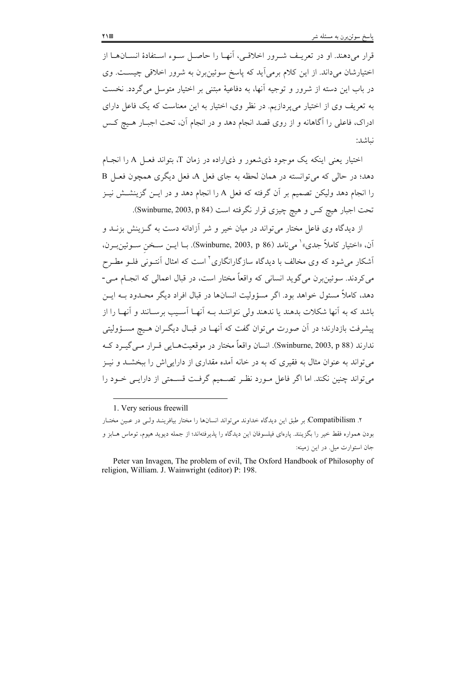قرار میدهند. او در تعریـف شـرور اخلاقـی، آنهـا را حاصـل سـوء اسـتفادهٔ انسـانهـا از اختیارشان میداند. از این کلام برمی اید که پاسخ سوئین برن به شرور اخلاقی چیست. وی در باب این دسته از شرور و توجیه آنها، به دفاعیهٔ مبتنی بر اختیار متوسل می گردد. نخست به تعریف وی از اختیار می پردازیم. در نظر وی، اختیار به این معناست که یک فاعل دارای ادراک، فاعلی را آگاهانه و از روی قصد انجام دهد و در انجام آن، تحت اجبـار هــيچ کــس نياشد:

اختیار بعنی اینکه یک موجود ذی شعور و ذی اراده در زمان T، بتواند فعـل A را انجـام دهد؛ در حالي كه مي توانسته در همان لحظه به جاي فعل A، فعل ديگري همچون فعـل B را انجام دهد ولیکن تصمیم بر آن گرفته که فعل A را انجام دهد و در ایــن گزینشــش نیــز تحت اجبار هيچ كس و هيچ چيزي قرار نگرفته است (Swinburne, 2003, p 84).

از دیدگاه وی فاعل مختار می تواند در میان خیر و شر آزادانه دست به گـزینش بزنــد و آن، «اختيار كاملاً جدي» ` ميiامد (Swinburne, 2003, p 86). بــا ايــن ســخن ســوئين.بــرن، اَشکار میشود که وی مخالف با دیدگاه سازگارانگاری<sup>۲</sup> است که امثال اَنتـونی فلــو مطــرح مي كردند. سوئين برن مي گويد انساني كه واقعاً مختار است، در قبال اعمالي كه انجــام مــي-دهد، کاملاً مسئول خواهد بود. اگر مسؤولیت انسانها در قبال افراد دیگر محبدود بیه ایس باشد که به آنها شکلات بدهند یا ندهند ولی نتواننـد بــه آنهــا آســبب برســانند و آنهــا را از پیشرفت بازدارند؛ در آن صورت می توان گفت که آنهــا در قبــال دیگــران هــیج مســؤولیتی ندارند (Swinburne, 2003, p 88). انسان واقعاً مختار در موقعیتھـابی قـرار مـی گـِـرد کـه می تواند به عنوان مثال به فقیری که به در خانه آمده مقداری از دارایی اش را ببخشــد و نیــز می تواند چنین نکند. اما اگر فاعل مـورد نظـر تصـمیم گرفـت قسـمتی از دارایـی خـود را

۲. Compatibilism. بر طبق این دیدگاه خداوند می تواند انسانها را مختار بیافرینـد ولـی در عـین مختـار بودن همواره فقط خير را بگزينند. يارەاي فيلسوفان اين ديدگاه را يذيرفتهاند؛ از جمله ديويد هيوم، توماس هــابز و جان استوارت میل. در این زمینه:

<sup>1.</sup> Very serious freewill

Peter van Invagen, The problem of evil, The Oxford Handbook of Philosophy of religion, William. J. Wainwright (editor) P: 198.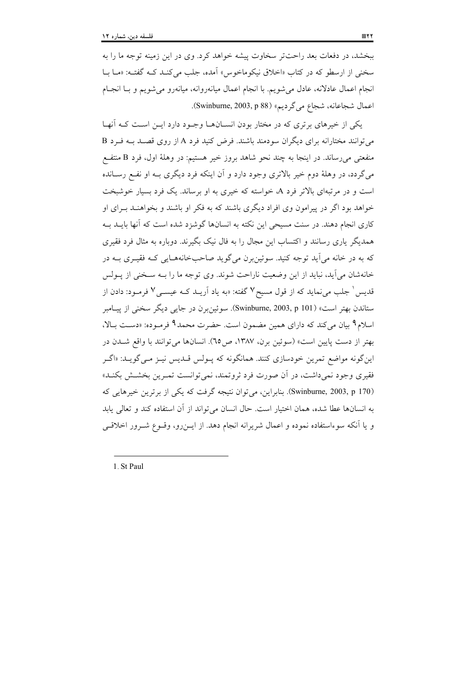ببخشد، در دفعات بعد راحتتر سخاوت پیشه خواهد کرد. وی در این زمینه توجه ما را به سخنی از ارسطو که در کتاب «اخلاق نیکوماخوس» اَمده، جلب میکنـد کـه گفتـه: «مـا بـا انجام اعمال عادلانه، عادل میشویم. با انجام اعمال میانهروانه، میانهرو میشویم و بـا انجـام اعمال شجاعانه، شجاع مي گرديم» (Swinburne, 2003, p 88).

یکی از خیرهای برتری که در مختار بودن انسـانهـا وجـود دارد ایـن اسـت کـه آنهـا می توانند مختارانه برای دیگران سودمند باشند. فرض کنید فرد A از روی قصـد بـه فـرد B منفعتی میرساند. در اینجا به چند نحو شاهد بروز خیر هستیم: در وهلهٔ اول، فرد B منتفع می گردد، در وهلهٔ دوم خیر بالاتری وجود دارد و آن اینکه فرد دیگری بـه او نفـع رسـانده است و در مرتبهای بالاتر فرد A، خواسته که خیری به او برساند. یک فرد بسیار خوشبخت خواهد بود اگر در پیرامون وی افراد دیگری باشند که به فکر او باشند و بخواهنـد بـرای او کاری انجام دهند. در سنت مسیحی این نکته به انسانها گوشزد شده است که آنها بایـد بـه همدیگر پاری رسانند و اکتساب این مجال را به فال نیک بگیرند. دوباره به مثال فرد فقیری که به در خانه می آید توجه کنید. سوئین برن می گوید صاحبخانههـایی کـه فقیـری بــه در خانهشان مي آيد، نبايد از اين وضعيت ناراحت شوند. وي توجه ما را بــه ســخني از يــولس قدیس ٔ جلب می نماید که از قول مسیح ۷ گفته: «به یاد اَریــد کــه عیســی ۷ فرمــود: دادن از ستاندن بهتر است» (Swinburne, 2003, p 101). سوئين برن در جايبي ديگر سخني از پيـامبر اسلام ۹ بیان میکند که دارای همین مضمون است. حضرت محمد۹ فرموده: «دست بالا، بهتر از دست پایین است» (سوئین برن، ۱۳۸۷، ص٦٥). انسانها می توانند با واقع شـدن در این گونه مواضع تمرین خودسازی کنند. همانگونه که پـولس قـدیس نیـز مـی گویـد: «اگـر فقیری وجود نمیداشت، در آن صورت فرد ثروتمند، نمی توانست تمـرین بخشـش بکنـد» (Swinburne, 2003, p 170). بنابراین، می توان نتیجه گرفت که یکی از برترین خیرهایی که به انسانها عطا شده، همان اختیار است. حال انسان می تواند از آن استفاده کند و تعالی پابد و یا آنکه سوءاستفاده نموده و اعمال شریرانه انجام دهد. از ایـن٫رو، وقــوع شــرور اخلاقــی

1. St Paul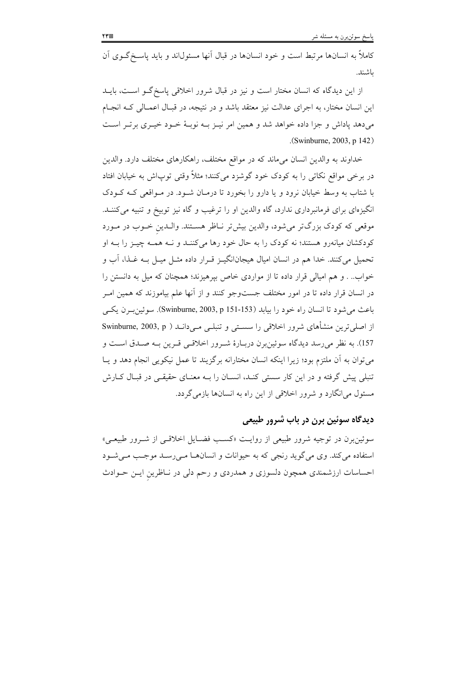کاملاً به انسانها مرتبط است و خود انسانها در قبال آنها مسئولاند و باید یاسـخگـوی آن باشند.

از این دیدگاه که انسان مختار است و نیز در قبال شرور اخلاقی پاسخ گـو اسـت، بایــد این انسان مختار، به اجرای عدالت نیز معتقد باشد و در نتیجه، در قبـال اعمـالی کــه انجـام میدهد پاداش و جزا داده خواهد شد و همین امر نیـز بـه نوبـهٔ خـود خیـری برتـر اسـت .(Swinburne, 2003, p 142)

خداوند به والدين انسان مي ماند كه در مواقع مختلف، راهكارهاي مختلف دارد. والدين در برخی مواقع نکاتی را به کودک خود گوشزد میکنند؛ مثلاً وقتی توپاش به خیابان افتاد با شتاب به وسط خیابان نرود و یا دارو را بخورد تا درمـان شـود. در مـواقعی کـه کـودک انگیزهای برای فرمانبرداری ندارد، گاه والدین او را ترغیب و گاه نیز توبیخ و تنبیه میکننـد. موقعی که کودک بزرگتر میشود، والدین بیشتر نـاظر هسـتند. والـدین خـوب در مـورد کودکشان میانهرو هستند؛ نه کودک را به حال خود رها میکننـد و نــه همــه چیــز را بــه او تحمیل میکنند. خدا هم در انسان امیال هیجانانگیــز قــرار داده مثــل میــل بــه غــذا، آب و خواب.. . و هم امیالی قرار داده تا از مواردی خاص بیرهیزند؛ همچنان که میل به دانستن را در انسان قرار داده تا در امور مختلف جستوجو کنند و از آنها علم بیاموزند که همین امـر باعث مي شود تا انسان راه خود را بيابد (Swinburne, 2003, p 151-153). سوئين بـرن يكـي از اصلی ترین منشأهای شرور اخلاقی را سستی و تنبلی میداند ( Swinburne, 2003, p 157). به نظر می رسد دیدگاه سوئین برن دربـارهٔ شـرور اخلاقـی قـرین بـه صـدق اسـت و می توان به آن ملتزم بود؛ زیرا اینکه انسان مختارانه برگزیند تا عمل نیکویی انجام دهد و یـا تنبلی پیش گرفته و در این کار سستی کنـد، انسـان را بـه معنـای حقیقـی در قبـال کـارش مسئول میانگارد و شرور اخلاقی از این راه به انسانها بازمی گردد.

## ديدگاه سوئين برن در باب شرور طبيعي

سوئین در توجیه شرور طبیعی از روایت «کسب فضایل اخلاقبی از شـرور طبیعـی» استفاده می کند. وی می گوید رنجی که به حیوانات و انسانهـا مـیرسـد موجـب مـیشـود احساسات ارزشمندی همچون دلسوزی و همدردی و رحم دلی در نـاظرین ایـن حـوادث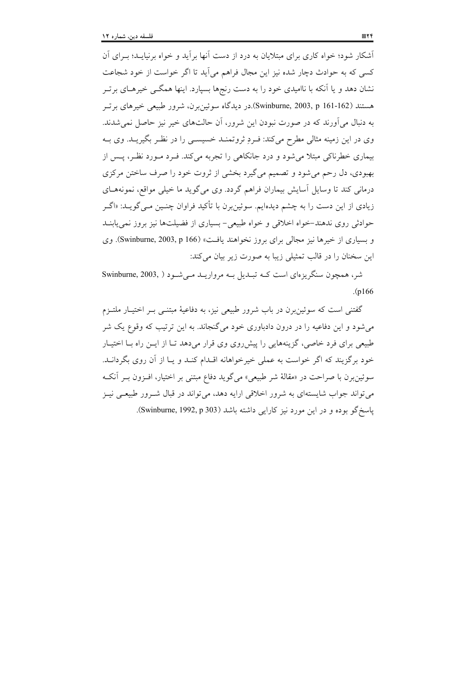آشکار شود؛ خواه کاری برای مبتلایان به درد از دست آنها بر آید و خواه برنیایــد؛ بــرای آن کسی که به حوادث دچار شده نیز این مجال فراهم می آید تا اگر خواست از خود شجاعت نشان دهد و یا آنکه با ناامیدی خود را به دست رنجها بسپارد. اینها همگــی خیرهــای برتــر هستند (Swinburne, 2003, p 161-162).در دیدگاه سوئین برن، شرور طبیعی خیرهای برتسر به دنبال می آورند که در صورت نبودن این شرور، آن حالتهای خیر نیز حاصل نمی شدند. وي در اين زمينه مثالي مطرح مي كند: فـرد ثروتمنــد خسيســي را در نظـر بگيريــد. وي بــه بیماری خطرناکی مبتلا می شود و درد جانکاهی را تجربه می کند. فـرد مـورد نظـر، پــس از بهبودي، دل رحم مي شود و تصميم مي گيرد بخشي از ثروت خود را صرف ساختن مركزي درمانی کند تا وسایل آسایش بیماران فراهم گردد. وی میگوید ما خیلی مواقع، نمونههـای زیادی از این دست را به چشم دیدهایم. سوئینبرن با تأکید فراوان چنـین مـیگویــد: «اگــر حوادثی روی ندهند-خواه اخلاقی و خواه طبیعی- بسیاری از فضیلتها نیز بروز نمی یابنــد و بسیاری از خیرها نیز مجالی برای بروز نخواهند یافت» (Swinburne, 2003, p 166). وی این سخنان را در قالب تمثیلی زیبا به صورت زیر بیان میکند:

شر، همچون سنگریزهای است کـه تبـدیل بـه مرواریـد مـی شـود ( Swinburne, 2003, )  $(n166)$ 

گفتنی است که سوئین برن در باب شرور طبیعی نیز، به دفاعیهٔ مبتنــی بــر اختیــار ملتــزم میشود و این دفاعیه را در درون دادباوری خود میگنجاند. به این ترتیب که وقوع یک شر طبیعی برای فرد خاصی، گزینههایی را پیش روی وی قرار می دهد تـا از ایــن راه بــا اختیــار خود برگزیند که اگر خواست به عملی خیرخواهانه اقـدام کنـد و یـا از آن روی بگردانـد. سوئینبرن با صراحت در «مقالهٔ شر طبیعی» میگوید دفاع مبتنی بر اختیار، افـزون بـر آنکـه می تواند جواب شایستهای به شرور اخلاقی ارایه دهد، می تواند در قبال شـرور طبیعـی نیـز پاسخ گو بوده و در این مورد نیز کارایی داشته باشد (Swinburne, 1992, p 303).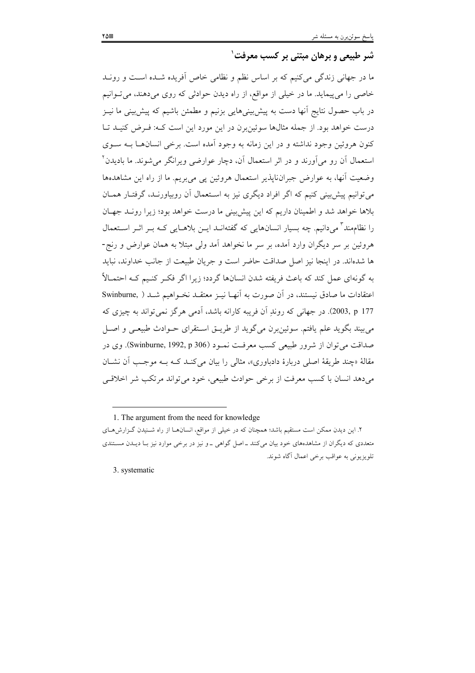# شر طبیعی و برهان مبتنی بر کسب معرفت ٰ

ما در جهانی زندگی میکنیم که بر اساس نظم و نظامی خاص آفریده شـده اسـت و رونـد خاصی را می بیماید. ما در خیلی از مواقع، از راه دیدن حوادثی که روی میدهند، می توانیم در باب حصول نتایج اَنها دست به پیشبینیهایی بزنیم و مطمئن باشیم که پیشبینی ما نیــز درست خواهد بود. از جمله مثالها سوئینبرن در این مورد این است کـه: فـرض کنیـد تـا کنون هروئين وجود نداشته و در اين زمانه به وجود آمده است. برخي انسان هـا بــه ســوى استعمال آن رو می[ورند و در اثر استعمال آن، دچار عوارضی ویرانگر میشوند. ما بادیدن<sup>۲</sup> وضعیت آنها، به عوارض جبرانناپذیر استعمال هروئین پی میبریم. ما از راه این مشاهدهها می توانیم پیش بینی کنیم که اگر افراد دیگری نیز به استعمال آن روبیاورنـد، گرفتـار همـان بلاها خواهد شد و اطمینان داریم که این پیش بینی ما درست خواهد بود؛ زیرا رونـد جهـان را نظامِمند ؓ می دانیم. چه بسیار انسانهایی که گفتهانــد ایــن بلاهــایی کــه بــر اثــر اســتعمال هروئين بر سر ديگران وارد آمده، بر سر ما نخواهد آمد ولي مبتلا به همان عوارض و رنج-ها شدهاند. در اینجا نیز اصل صداقت حاضر است و جریان طبیعت از جانب خداوند، نباید به گونهای عمل کند که باعث فریفته شدن انسانها گردد؛ زیرا اگر فک کنیم کیه احتمـالاً اعتقادات ما صادق نیستند، در آن صورت به آنهـا نیــز معتقــد نخــواهیم شــد ( Swinburne 177 , 2003). در جهانی که روند آن فریبه کارانه باشد، آدمی هرگز نمی تواند به چیزی که مي بيند بگويد علم يافتم. سوئين برن مي گويد از طريــق اســتقراي حــوادث طبيعــي و اصــل صداقت مي توان از شرور طبيعي كسب معرفـت نمـود (Swinburne, 1992, p 306). وي در مقالهٔ «چند طریقهٔ اصلی دربارهٔ دادباوری»، مثالی را بیان می کنـد کـه بـه موجـب اَن نشـان مي دهد انسان با كسب معرفت از برخي حوادث طبيعي، خود مي تواند مرتكب شر اخلاقبي

1. The argument from the need for knowledge

۲. این دیدن ممکن است مستقیم باشد؛ همچنان که در خیلی از مواقع، انسانهـا از راه شـنیدن گـزارش۵حای متعددی که دیگران از مشاهدههای خود بیان میکنند ـ اصل گواهی ـ و نیز در برخی موارد نیز بـا دیـدن مسـتندی تلويزيوني به عواقب برخي اعمال آگاه شوند.

3. systematic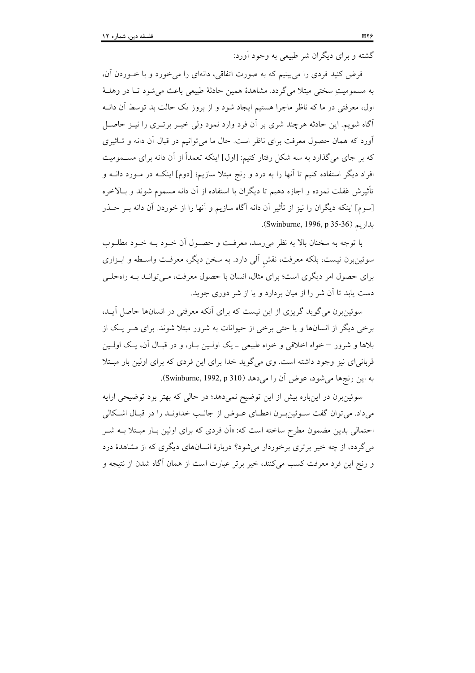گشته و برای دیگران شر طبیعی به وجود آورد:

فرض کنید فردی را می بینیم که به صورت اتفاقی، دانهای را می خورد و با خــوردن آن، به مسموميت سختي مبتلا مي گردد. مشاهدهٔ همين حادثهٔ طبيعي باعث مي شود تــا در وهلــهٔ اول، معرفتی در ما که ناظر ماجرا هستیم ایجاد شود و از بروز یک حالت بد توسط آن دانـه آگاه شویم. این حادثه هرچند شری بر آن فرد وارد نمود ولی خیـر برتـری را نیـز حاصـل آورد که همان حصول معرفت برای ناظر است. حال ما میتوانیم در قبال آن دانه و تـاثیری که بر جای می گذارد به سه شکل رفتار کنیم: [اول] اینکه تعمداً از آن دانه برای مســمومیت افراد دیگر استفاده کنیم تا آنها را به درد و رنج مبتلا سازیم؛ [دوم] اینکـه در مـورد دانــه و تأثيرش غفلت نموده و اجازه دهيم تا ديگران با استفاده از آن دانه مسموم شوند و بـالاخره [سوم] اينكه ديگران را نيز از تأثير آن دانه آگاه سازيم و آنها را از خوردن آن دانه بـر حــذر ىدارىم (Swinburne, 1996, p 35-36).

با توجه به سخنان بالا به نظر می رسد، معرفت و حصـول أن خـود بــه خـود مطلــوب سوئینبرن نیست، بلکه معرفت، نقش آلی دارد. به سخن دیگر، معرفت واسـطه و ابـزاری برای حصول امر دیگری است؛ برای مثال، انسان با حصول معرفت، مـی توانـد بــه راهحلــی دست پابد تا آن شر را از میان بردارد و یا از شر دوری جوید.

سوئین برن می گوید گریزی از این نیست که برای آنکه معرفتی در انسانها حاصل آیـد، برخی دیگر از انسانها و یا حتی برخی از حیوانات به شرور مبتلا شوند. برای هـر یـک از بلاها و شرور – خواه اخلاقی و خواه طبیعی ــ یک اولـین بــار، و در قبــال آن، یــک اولــین قربانی ای نیز وجود داشته است. وی میگوید خدا برای این فردی که برای اولین بار مبتلا به این رنجها می شود، عوض آن را می دهد (Swinburne, 1992, p 310).

سوئینبرن در اینباره بیش از این توضیح نمیدهد؛ در حالی که بهتر بود توضیحی ارایه میداد. می توان گفت سـوئین بـرن اعطـای عــوض از جانــب خداونــد را در قبــال اشــكالـی احتمالی بدین مضمون مطرح ساخته است که: «اَن فردی که برای اولین بـار مبـتلا بــه شــر می گردد، از چه خیر برتری برخوردار می شود؟ دربارهٔ انسانهای دیگری که از مشاهدهٔ درد و رنج این فرد معرفت کسب میکنند، خیر برتر عبارت است از همان آگاه شدن از نتیجه و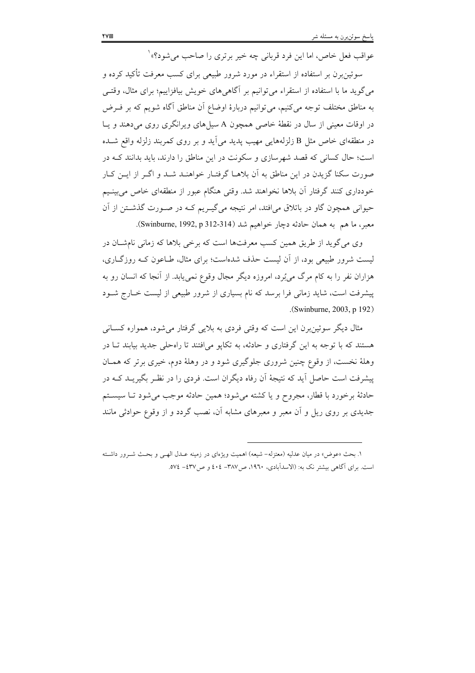عواقب فعل خاص، اما این فرد قربانی چه خیر برتری را صاحب می شود؟» ْ

سوئین برن بر استفاده از استقراء در مورد شرور طبیعی برای کسب معرفت تأکید کرده و می گوید ما با استفاده از استقراء می توانیم بر آگاهی های خویش بیافزاییم؛ برای مثال، وقتـی به مناطق مختلف توجه می کنیم، می توانیم دربارهٔ اوضاع اَن مناطق اَگاه شویم که بر فــرض در اوقات معینی از سال در نقطهٔ خاصی همچون A سیلهای ویرانگری روی می دهند و یـا در منطقهای خاص مثل B زلزلههایی مهیب پدید می]ید و بر روی کمربند زلزله واقع شــده است؛ حال کسانی که قصد شهرسازی و سکونت در این مناطق را دارند، باید بدانند کــه در صورت سکنا گزیدن در این مناطق به آن بلاهـا گرفتـار خواهنـد شـد و اگـر از ایـن کـار خودداری کنند گرفتار آن بلاها نخواهند شد. وقتی هنگام عبور از منطقهای خاص می بینـیم حیوانی همچون گاو در باتلاق می افتد، امر نتیجه می گیـریم کــه در صــورت گذشــتن از آن معبر، ما هم به همان حادثه دچار خواهيم شد (Swinburne, 1992, p 312-314).

وی می گوید از طریق همین کسب معرفتها است که برخی بلاها که زمانی نامشـان در لیست شرور طبیعی بود، از آن لیست حذف شدهاست؛ برای مثال، طـاعون کـه روزگــاری، هزاران نفر را به کام مرگ می بُرد، امروزه دیگر مجال وقوع نمی یابد. از آنجا که انسان رو به پیشرفت است، شاید زمانی فرا برسد که نام بسیاری از شرور طبیعی از لیست خــارج شــود (Swinburne, 2003, p 192).

مثال دیگر سوئین برن این است که وقتی فردی به بلایی گرفتار می شود، همواره کســانی هستند که با توجه به این گرفتاری و حادثه، به تکایو می افتند تا راهحلی جدید بیابند تــا در وهلهٔ نخست، از وقوع چنین شروری جلوگیری شود و در وهلهٔ دوم، خیری برتر که همـان پیشرفت است حاصل آید که نتیجهٔ آن رفاه دیگران است. فردی را در نظـر بگیریــد کــه در حادثهٔ برخورد با قطار، مجروح و یا کشته می شود؛ همین حادثه موجب می شود تــا سیســتم جدیدی بر روی ریل و آن معبر و معبرهای مشابه آن، نصب گردد و از وقوع حوادثی مانند

١. بحث «عوض» در ميان عدليه (معتزله- شيعه) اهميت ويژهاي در زمينه عـدل الهـي و بحـث شـرور داشـته است. برای آگاهی بیشتر نک به: (الاسدآبادی، ۱۹۶۰، ص۳۸۷– ٤٠٤ و ص٤٣٧– ٥٧٤.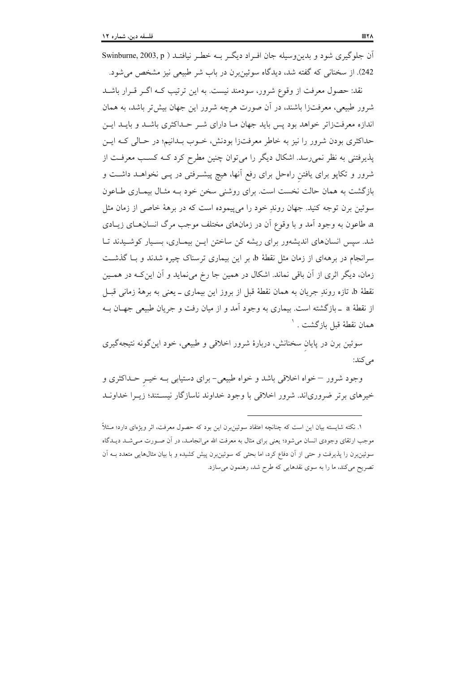آن جلوگیری شود و بدین وسیله جان اف اد دیگ بــه خطـر نیافتــد ( Swinburne, 2003, p 242). از سخنانی که گفته شد، دیدگاه سوئین برن در باب شر طبیعی نیز مشخص می شود.

نقد: حصول معرفت از وقوع شرور، سودمند نیست. به این ترتیب کــه اگــر قــرار باشــد شرور طبیعی، معرفتزا باشند، در آن صورت هرچه شرور این جهان بیش تر باشد، به همان اندازه معرفتزاتر خواهد بود پس باید جهان مـا دارای شـر حـداکثری باشـد و بایـد ایـن حداکثری بودن شرور را نیز به خاطر معرفتزا بودنش، خـوب بـدانیم؛ در حـالی کـه ایـن یذیرفتنی به نظر نمی رسد. اشکال دیگر را می توان چنین مطرح کرد کــه کســب معرفــت از شرور و تکاپو برای یافتن راهحل برای رفع آنها، هیچ پیشـرفتی در پـی نخواهــد داشــت و بازگشت به همان حالت نخست است. برای روشنی سخن خود بـه مثـال بیمـاری طـاعون سوئین برن توجه کنید. جهان روندِ خود را می پیموده است که در برههٔ خاصی از زمان مثل a طاعون به وجود آمد و با وقوع آن در زمانهای مختلف موجب مرگ انسانهـای زیـادی شد. سپس انسانهای اندیشهور برای ریشه کن ساختن ایـن بیمـاری، بسـیار کوشـیدند تـا سرانجام در برههای از زمان مثل نقطهٔ b، بر این بیماری ترسناک چیره شدند و بـا گذشـت زمان، دیگر اثری از آن باقی نماند. اشکال در همین جا رخ می نماید و آن این کـه در همـین نقطهٔ b، تازه روندِ جریان به همان نقطهٔ قبل از بروز این بیماری ــ یعنی به برههٔ زمانی قبــل از نقطهٔ a \_بازگشته است. بیماری به وجود آمد و از میان رفت و جریان طبیعی جهـان بــه همان نقطهٔ قبل بازگشت . <sup>۱</sup>

سوئین برن در پایان سخنانش، دربارهٔ شرور اخلاقی و طبیعی، خود این گونه نتیجهگیری می کند:

وجود شرور –خواه اخلاقی باشد و خواه طبیعی- برای دستیابی بـه خیــر حــداکثری و خیرهای برتر ضروریاند. شرور اخلاقی با وجود خداوند ناسازگار نیسـتند؛ زیــرا خداونــد

١. نكته شايسته بيان اين است كه چنانچه اعتقاد سوئين برن اين بود كه حصول معرفت، اثر ويژهاي دارد؛ مــثلاً موجب ارتقای وجودی انسان میشود؛ یعنی برای مثال به معرفت الله میانجامـد، در آن صـورت مـیشـد دیـدگاه سوئینبرن را پذیرفت و حتی از آن دفاع کرد، اما بحثی که سوئینبرن پیش کشیده و با بیان مثالهایی متعدد بـه آن تصریح میکند، ما را به سوی نقدهایی که طرح شد، رهنمون میسازد.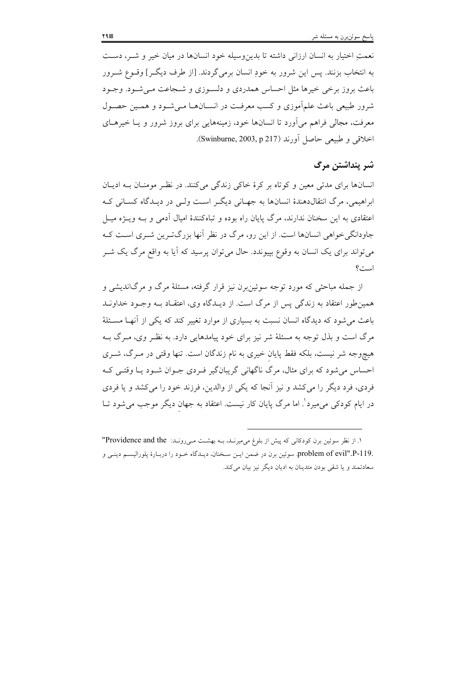نعمتِ اختيار به انسان ارزاني داشته تا بدينِوسيله خود انسانها در ميان خيرٍ و شـر، دسـت به انتخاب بزنند. پس این شرور به خودِ انسان برمی گردند. [از طرف دیگـر] وقــوع شــرور باعث بروز برخی خیرها مثل احساس همدردی و دلسـوزی و شـجاعت مـی شـود. وجـود شرور طبیعی باعث علمآموزی و کسب معرفت در انســانهــا مــی شــود و همــین حصــول معرفت، مجالی فراهم می آورد تا انسانها خود، زمینههایی برای بروز شرور و یـا خیرهـای اخلاقی و طبیعی حاصل آورند (Swinburne, 2003, p 217).

## شر پنداشتن مرگ

انسانها برای مدتی معین و کوتاه بر کرهٔ خاکی زندگی میکنند. در نظر مومنان بـه ادیـان ابراهیمی، مرگ انتقالدهندهٔ انسانها به جهـانی دیگـر اسـت ولـی در دیـدگاه کسـانی کـه اعتقادی به این سخنان ندارند، مرگ پایان راه بوده و تباهکنندهٔ امیال آدمی و بـه ویـژه میـل جاودانگی خواهی انسانها است. از این رو، مرگ در نظر آنها بزرگت ین شـری اسـت کـه می تواند برای یک انسان به وقوع بیپوندد. حال می توان پرسید که آیا به واقع مرگ یک شــر است؟

از جمله مباحثی که مورد توجه سوئین رن نیز قرار گرفته، مسئلهٔ مرگ و مرگاندیشی و همین طور اعتقاد به زندگی پس از مرگ است. از دیـدگاه وی، اعتقـاد بـه وجـود خداونـد باعث مرشود که دیدگاه انسان نسبت به بسیاری از موارد تغییر کند که یکی از آنها مسئلهٔ مرگ است و بذل توجه به مسئلهٔ شر نیز برای خود پیامدهایی دارد. به نظـر وی، مـرگ بـه هیچوجه شر نیست، بلکه فقط پایان خیری به نام زندگان است. تنها وقتی در مـرگ، شــری احساس می شود که برای مثال، مرگ ناگهانی گریبانگیر فـردی جـوان شـود یـا وقتـی کـه فردي، فرد ديگر را مي كشد و نيز آنجا كه يكي از والدين، فرزند خود را مي كشد و يا فردي در ایام کودکی می،میرد ْ. اما مرگ پایان کار نیست. اعتقاد به جهان دیگر موجب می،شود تــا

١. از نظر سوئین برن کودکانی که پیش از بلوغ می میرنـد، بـه بهشـت مـیرونـد: Providence and the" .problem of evil".P-119 سوئين برن در ضمن ايـن سـخنان، ديـدگاه خـود را دربـارهٔ پلوراليسـم دينـي و سعادتمند و يا شقى بودن متدينان به اديان ديگر نيز بيان مى كند.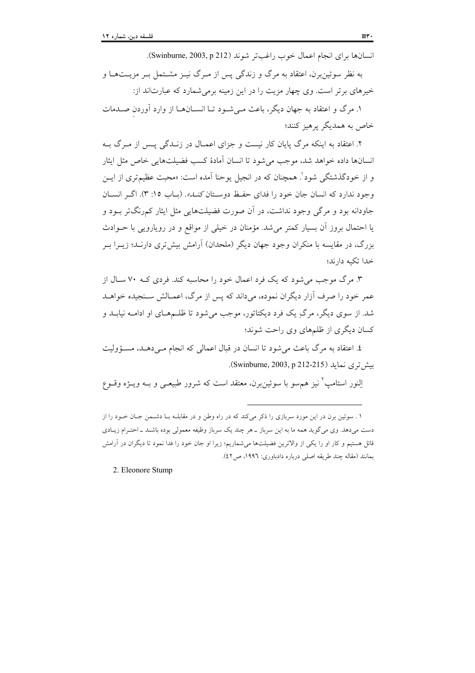انسانها براي انجام اعمال خوب راغبتر شوند (Swinburne, 2003, p 212).

به نظر سوئین برن، اعتقاد به مرگ و زندگی پس از مـرگ نیــز مشــتمل بــر مزیــتهــا و خیرهای برتر است. وی چهار مزیت را در این زمینه برمی شمارد که عبارتاند از:

۱. مرگ و اعتقاد به جهان دیگر، باعث مے شـود تـا انســانهــا از وارد آوردن صــدمات خاص به همدیگر پرهیز کنند؛

۲. اعتقاد به اینکه مرگ پایان کار نیست و جزای اعمـال در زنــدگی پــس از مــرگ بــه انسانها داده خواهد شد، موجب می شود تا انسان آمادهٔ کسب فضیلتهایی خاص مثل ایثار و از خودگذشتگی شود<sup>'</sup>. همچنان که در انجیل پوحنا آمده است: «محبت عظیمتری از ایــن وجود ندارد که انسان جان خود را فدای حفظ دوستان *کنــا.».* (بـاب ۱۵: ۳). اگـر انســان جاودانه بود و مرگ<sub>ی</sub> وجود نداشت، در آن صورت فضیلتهایی مثل ایثار کم,رنگتر بــود و یا احتمال بروز آن بسیار کمتر می شد. مؤمنان در خیلی از مواقع و در رویارویی با حـوادث بزرگ، در مقایسه با منکران وجود جهان دیگر (ملحدان) آرامش بیشتری دارنـد؛ زیــرا بــر خدا تكبه دارند؛

۳. مرگ موجب می شود که یک فرد اعمال خود را محاسبه کند. فردی کـه ۷۰ سـال از عمر خود را صرف آزار دیگران نموده، می داند که پس از مرگ، اعمـالش سـنجیده خواهـد شد. از سوی دیگر، مرگ یک فرد دیکتاتور، موجب می شود تا ظلـمهـای او ادامــه نیابــد و کسان دیگری از ظلمهای وی راحت شوند؛

٤. اعتقاد به مرگ باعث می شود تا انسان در قبال اعمالی که انجام مـیدهـد، مسـؤولیت ىش ترى نمايد (Swinburne, 2003, p 212-215).

النور استامب ٌ نیز هم سو یا سوئین برن، معتقد است که شرور طبیعے و بـه ویـژه وقـوع

2. Eleonore Stump

۱ . سوئین برن در این مورد سربازی را ذکر میکند که در راه وطن و در مقابلـه بـا دشـمن جـان خـود را از دست میدهد. وی میگوید همه ما به این سرباز ــ هر چند یک سرباز وظیفه معمولی بوده باشـد ــ احتــرام زیــادی قائل هستیم و کار او را یکی از والاترین فضیلتها می شماریم؛ زیرا او جان خود را فدا نمود تا دیگران در آرامش بمانند (مقاله چند طريقه اصلى درباره دادباورى: ١٩٩٦، ص٤٢).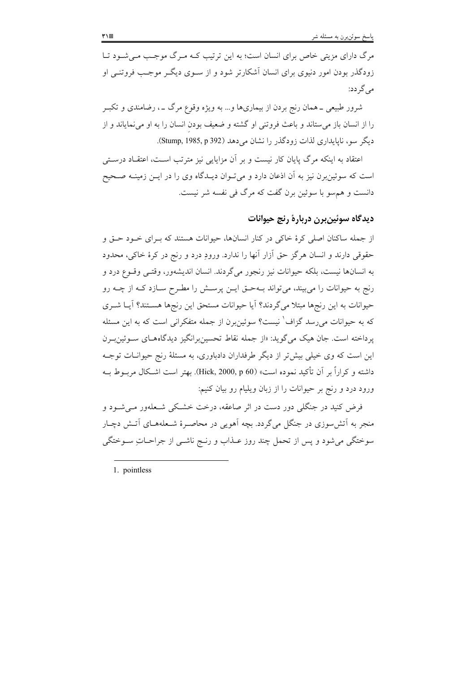مرگ دارای مزیتی خاص برای انسان است؛ به این ترتیب کـه مـرگ موجـب مـی شـود تـا زودگذر بودن امور دنیوی برای انسان اَشکارتر شود و از ســوی دیگــر موجـب فروتنــی او می گردد:

شرور طبیعی ــ همان رنج بردن از بیماریها و… به ویژه وقوع مرگ ــ ، رضامندی و تکبــر را از انسان باز می ستاند و باعث فروتنی او گشته و ضعیف بودن انسان را به او می نمایاند و از دیگر سو، ناپایداری لذات زودگذر را نشان می دهد (Stump, 1985, p 392).

اعتقاد به اینکه مرگ پایان کار نیست و بر آن مزایایی نیز مترتب اسـت، اعتقــاد درسـتی است که سوئینبرن نیز به اَن اذعان دارد و میتوان دیـدگاه وی را در ایــن زمینــه صــحیح دانست و هم سو با سوئين برن گفت كه مرگ في نفسه شر نيست.

## ديدگاه سوئين برن دربارهٔ رنج حيوانات

از جمله ساکنان اصلی کرهٔ خاکی در کنار انسانها، حیوانات هستند که بـرای خـود حـق و حقوقي دارند و انسان هرگز حق اَزار اَنها را ندارد. ورودِ درد و رنج در کرهٔ خاکي، محدود به انسانها نیست، بلکه حیوانات نیز رنجور میگردند. انسان اندیشهور، وقتـی وقـوع درد و رنج به حیوانات را می بیند، می تواند بـهحـق ایــن پرســش را مطـرح ســازد کــه از چــه رو حیوانات به این رنجها مبتلا می گردند؟ آیا حیوانات مستحق این رنجها هسـتند؟ آیــا شــری که به حیوانات می رسد گزاف<sup>\</sup> نیست؟ سوئین دن از جمله متفکرانی است که به این مسئله یرداخته است. جان هیک می گوید: «از جمله نقاط تحسین برانگیز دیدگاههـای سـوئین بـرن این است که وی خیلی بیش تر از دیگر طرفداران دادباوری، به مسئلهٔ رنج حیوانــات توجــه داشته و كراراً بر آن تأكيد نموده است» (Hick, 2000, p 60). بهتر است اشـكال مربـوط بـه ورود درد و رنج بر حیوانات را از زبان ویلیام رو بیان کنیم:

فرض کنید در جنگلی دور دست در اثر صاعقه، درخت خشبکی شیعلهور می شیود و منجر به اتش سوزی در جنگل می گردد. بچه اَهویی در محاصـرهٔ شـعلههـای اَتـش دچـار سوختگي مي شود و پس از تحمل چند روز عــذاب و رنــج ناشــي از جراحــاتِ ســوختگي

1. pointless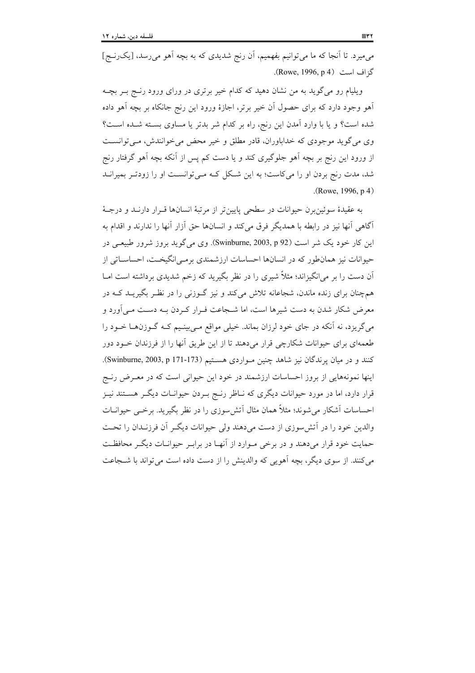می میرد. تا آنجا که ما می توانیم بفهمیم، آن رنج شدیدی که به بچه اَهو می ِرسد، [یک ِرنج] گزاف است (Rowe, 1996, p 4).

ویلیام رو می گوید به من نشان دهید که کدام خیر برتری در ورای ورود رنج بـر بچـه آهو وجود دارد که برای حصول آن خیر برتر، اجازهٔ ورود این رنج جانکاه بر بچه آهو داده شده است؟ و یا با وارد آمدن این رنج، راه بر کدام شر بدتر یا مساوی بسته شـده اسـت؟ وی میگوید موجودی که خداباوران، قادر مطلق و خیر محض می خوانندش، می توانست از ورود این رنج بر بچه اَهو جلوگیری کند و یا دست کم پس از اَنکه بچه اَهو گرفتار رنج شد، مدت رنج بردن او را می کاست؛ به این شکل کـه مـی توانسـت او را زودتـر بمیرانـد  $(Rowe, 1996, p4)$ 

به عقيدهٔ سوئين برن حيوانات در سطحي پايين تر از مرتبهٔ انسانها قـرار دارنــد و درجــهٔ آگاهی آنها نیز در رابطه با همدیگر فرق می کند و انسانها حق آزار آنها را ندارند و اقدام به این کار خود یک شر است (Swinburne, 2003, p 92). وی می گوید بروز شرور طبیعی در حیوانات نیز همانطور که در انسانها احساسات ارزشمندی برمبی|نگیخـت، احساســاتی از آن دست را بر می|نگیزاند؛ مثلاً شیری را در نظر بگیرید که زخم شدیدی برداشته است امــا همچنان برای زنده ماندن، شجاعانه تلاش میکند و نیز گــوزنی را در نظـر بگیریــد کــه در معرض شکار شدن به دست شیرها است، اما شـجاعت فـرار کـردن بـه دسـت مـی آورد و میگریزد، نه آنکه در جای خود لرزان بماند. خیلی مواقع مـیبینـیم کـه گـوزن٥هـا خـود را طعمهای برای حیوانات شکارچی قرار میدهند تا از این طریق آنها را از فرزندان خــود دور کنند و در میان پرندگان نیز شاهد چنین مواردی هستیم (Swinburne, 2003, p 171-173). اینها نمونههایی از بروز احساسات ارزشمند در خود این حیوانی است که در معـرض رنـج قرار دارد، اما در مورد حیوانات دیگری که نـاظر رنـج بـردن حیوانـات دیگـر هسـتند نیـز احساسات آشکار می شوند؛ مثلاً همان مثال آتش سوزی را در نظر بگیرید. برخبی حیوانــات والدین خود را در آتش سوزی از دست می دهند ولی حیوانات دیگر آن فرزنـدان را تحـت حمایت خود قرار میدهند و در برخی مـوارد از آنهـا در برابـر حیوانـات دیگـر محافظـت می کنند. از سوی دیگر، بچه آهویی که والدینش را از دست داده است می تواند با شــجاعت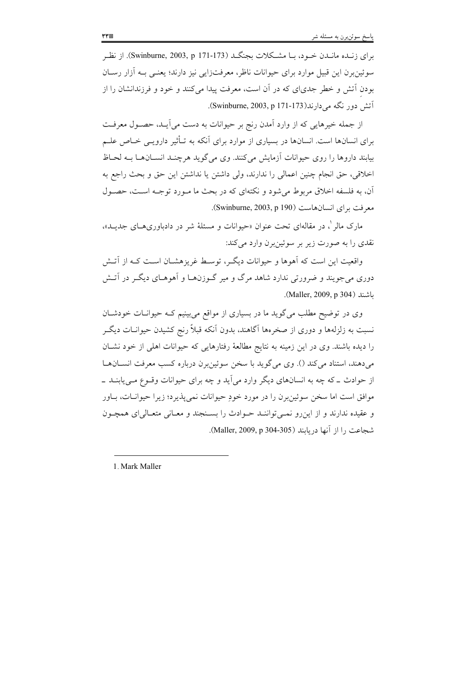برای زنـده مانـدن خـود، بـا مشـكلات بجنگـد (Swinburne, 2003, p 171-173). از نظـر سوئینبرن این قبیل موارد برای حیوانات ناظر، معرفتزایی نیز دارند؛ یعنـی بــه اَزار رســان بودن آتش و خطر جدی|ی که در آن است، معرفت پیدا میکنند و خود و فرزندانشان را از آتش دور نگه می دارند(Swinburne, 2003, p 171-173).

از جمله خیرهایی که از وارد آمدن رنج بر حیوانات به دست می آیـد، حصـول معرفـت برای انسانها است. انسانها در بسیاری از موارد برای آنکه به تـأثیر دارویــی خـاص علــم بیابند داروها را روی حیوانات آزمایش می کنند. وی می گوید هرچنـد انســانهــا بــه لحــاظ اخلاقي، حق انجام چنين اعمالي را ندارند، ولي داشتن يا نداشتن اين حق و بحث راجع به آن، به فلسفه اخلاق مربوط می شود و نکتهای که در بحث ما مـورد توجـه اسـت، حصـول مع فت براي انسان هاست (Swinburne, 2003, p 190).

مارک مالر <sup>۱</sup>، در مقالهای تحت عنوان «حیوانات و مسئلهٔ شر در دادباوریهــای جدیــد»، نقدي را به صورت زير بر سوئينبرن وارد مي كند:

واقعیت این است که آهوها و حیوانات دیگر، توسط غریزهشـان اسـت کـه از آتـش دوری می جویند و ضرورتی ندارد شاهد مرگ و میر گـوزن۱هـا و اَهوهـای دیگـر در اَتـش باشند (Maller, 2009, p 304).

وی در توضیح مطلب می گوید ما در بسیاری از مواقع می بینیم کـه حیوانــات خودشــان نسبت به زلزلهها و دوری از صخرهها آگاهند، بدون آنکه قبلاً رنج کشیدن حیوانــات دیگــر را دیده باشند. وی در این زمینه به نتایج مطالعهٔ رفتارهایی که حیوانات اهلی از خود نشـان مي دهند، استناد مي كند (). وي مي گويد با سخن سوئينبرن درباره كسب معرفت انســانهــا از حوادث ــ که چه به انسانهای دیگر وارد می اَید و چه برای حیوانات وقــوع مــی،یابنــد ــ موافق است اما سخن سوئینبرن را در مورد خودِ حیوانات نمیپذیرد؛ زیرا حیوانـات، بــاور و عقيده ندارند و از اين رو نمـي تواننـد حـوادث را بسـنجند و معـاني متعـالي اي همچـون شجاعت , ا از آنها در بابند (Maller, 2009, p 304-305).

1. Mark Maller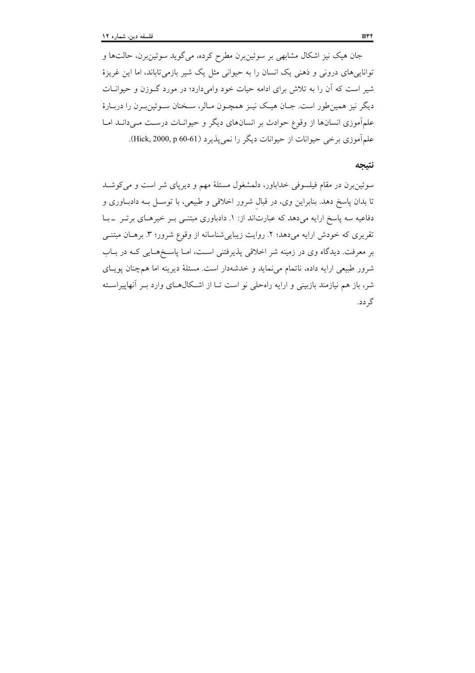جان هیک نیز اشکال مشابهی بر سوئین برن مطرح کرده، میگوید سوئین برن، حالتها و تواناییهای درونی و ذهنی یک انسان را به حیوانی مثل یک شیر بازمیتاباند، اما این غریزهٔ شیر است که آن را به تلاش برای ادامه حیات خود وامیدارد؛ در مورد گـوزن و حیوانـات دیگر نیز همین طور است. جـان هیـک نیـز همچـون مـالر، سـخنان سـوئین بـرن را دربـارهٔ علمآموزی انسانها از وقوع حوادث بر انسانهای دیگر و حیوانـات درسـت مـی دانــد امــا علمآموزي برخي حيوانات از حيوانات ديگر را نمي يذيرد (Hick, 2000, p 60-61).

#### نتيجه

سوئینبرن در مقام فیلسوفی خداباور، دلمشغول مسئلهٔ مهم و دیرپای شر است و میکوشـد تا بدان پاسخ دهد. بنابراین وی، در قبال شرور اخلاقی و طبیعی، با توسـل بـه دادبـاوری و دفاعیه سه پاسخ ارایه میدهد که عبارتاند از: ۱. دادباوری مبتنـی بـر خیرهـای برتـر \_بـا تقریری که خودش ارایه میدهد؛ ۲. روایت زیبایی شناسانه از وقوع شرور؛ ۳. برهـان مبتنــی بر معرفت. دیدگاه وی در زمینه شر اخلاقی پذیرفتنی است، امـا پاسـخهـایی کـه در بـاب شرور طبیعی ارایه داده، ناتمام می نماید و خدشهدار است. مسئلهٔ دیرینه اما همچنان پویسای شر، باز هم نیازمند بازبینی و ارایه راهحلی نو است تـا از اشـکال۱عـای وارد بـر آنهاییراسـته گر دد.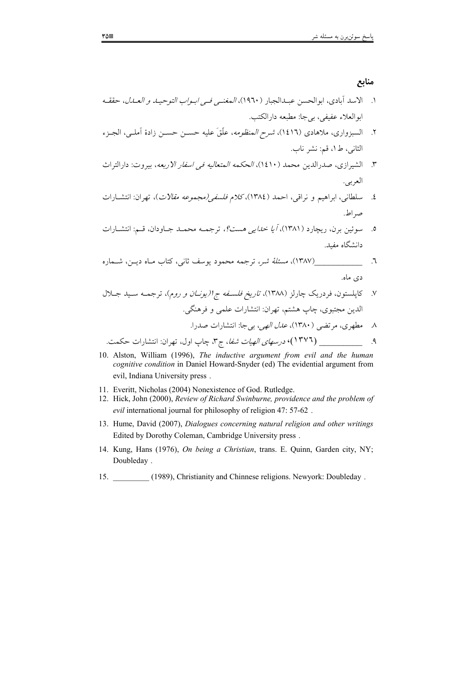#### منابع

- ١. الاسد آبادي، ابوالحسن عبـدالجبار (١٩٦٠)، *المغنـي فـي ابـواب التوحيـد و العـدل*، حققـه ابوالعلاء عفيفي، بيجا: مطبعه دارالكتب.
- ۲. السبزواري، ملاهادي (١٤١٦)، *شرح المنظومه*، علَّقَ عليه حســن حســن زادهٔ آملــي، الجـزء الثاني، ط١، قم: نشر ناب.
- ٣. الشيرازي، صدرالدين محمد (١٤١٠)، *الحكمه المتعاليه في اسفار الاربعه*، بيروت: دارالتراث العربي.
- ٤. سلطاني، ابراهيم و نراقي، احمد (١٣٨٤)،كلام فلسفي(مجم*وعه مقالات*)، تهران: انتشــارات صد اط.
- ه. سوئين برن، ريچارد (١٣٨١)، *أيا خدايي هست؟*، ترجمــه محمــد جــاودان، قــم: انتشــارات دانشگاه مفىد.
- ٦. \_\_\_\_\_\_\_\_\_\_\_\_\_\_\_\_\_\_\_\_(١٣٨٧)، *مسئلة شر،* ترجمه محمود يوسف ثاني، كتاب مـاه ديــن، شــماره دی ماه.

- 10. Alston, William (1996), The inductive argument from evil and the human cognitive condition in Daniel Howard-Snyder (ed) The evidential argument from evil, Indiana University press.
- 11. Everitt, Nicholas (2004) Nonexistence of God. Rutledge.
- 12. Hick, John (2000), Review of Richard Swinburne, providence and the problem of evil international journal for philosophy of religion 47: 57-62.
- 13. Hume, David (2007), Dialogues concerning natural religion and other writings Edited by Dorothy Coleman, Cambridge University press.
- 14. Kung, Hans (1976), On being a Christian, trans. E. Quinn, Garden city, NY; Doubleday.
- 15. (1989), Christianity and Chinnese religions. Newyork: Doubleday.